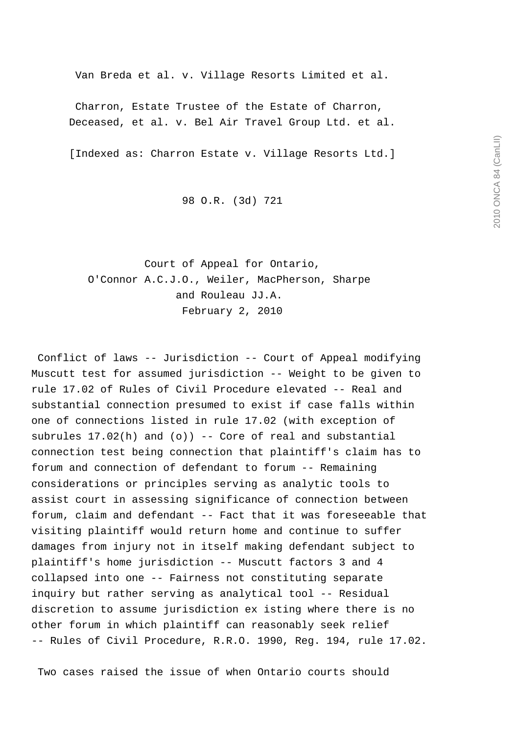Van Breda et al. v. Village Resorts Limited et al.

 Charron, Estate Trustee of the Estate of Charron, Deceased, et al. v. Bel Air Travel Group Ltd. et al.

[Indexed as: Charron Estate v. Village Resorts Ltd.]

98 O.R. (3d) 721

 Court of Appeal for Ontario, O'Connor A.C.J.O., Weiler, MacPherson, Sharpe and Rouleau JJ.A. February 2, 2010

 Conflict of laws -- Jurisdiction -- Court of Appeal modifying Muscutt test for assumed jurisdiction -- Weight to be given to rule 17.02 of Rules of Civil Procedure elevated -- Real and substantial connection presumed to exist if case falls within one of connections listed in rule 17.02 (with exception of subrules  $17.02(h)$  and  $(o)$ ) -- Core of real and substantial connection test being connection that plaintiff's claim has to forum and connection of defendant to forum -- Remaining considerations or principles serving as analytic tools to assist court in assessing significance of connection between forum, claim and defendant -- Fact that it was foreseeable that visiting plaintiff would return home and continue to suffer damages from injury not in itself making defendant subject to plaintiff's home jurisdiction -- Muscutt factors 3 and 4 collapsed into one -- Fairness not constituting separate inquiry but rather serving as analytical tool -- Residual discretion to assume jurisdiction ex isting where there is no other forum in which plaintiff can reasonably seek relief -- Rules of Civil Procedure, R.R.O. 1990, Reg. 194, rule 17.02.

Two cases raised the issue of when Ontario courts should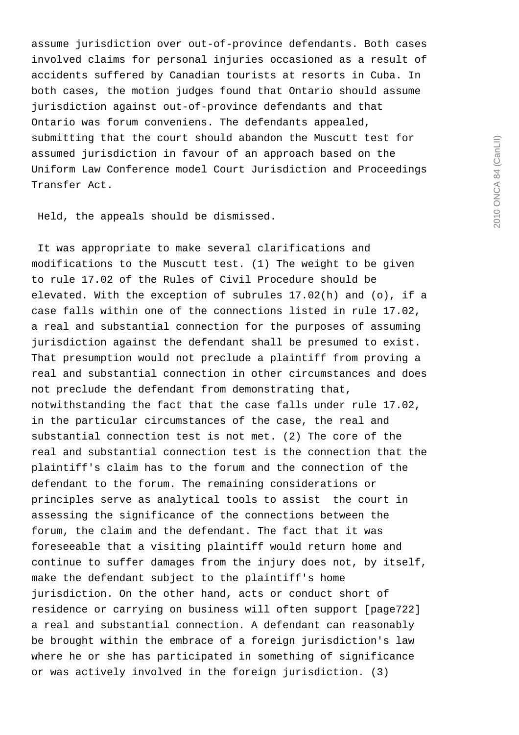assume jurisdiction over out-of-province defendants. Both cases involved claims for personal injuries occasioned as a result of accidents suffered by Canadian tourists at resorts in Cuba. In both cases, the motion judges found that Ontario should assume jurisdiction against out-of-province defendants and that Ontario was forum conveniens. The defendants appealed, submitting that the court should abandon the Muscutt test for assumed jurisdiction in favour of an approach based on the Uniform Law Conference model Court Jurisdiction and Proceedings Transfer Act.

Held, the appeals should be dismissed.

 It was appropriate to make several clarifications and modifications to the Muscutt test. (1) The weight to be given to rule 17.02 of the Rules of Civil Procedure should be elevated. With the exception of subrules 17.02(h) and (o), if a case falls within one of the connections listed in rule 17.02, a real and substantial connection for the purposes of assuming jurisdiction against the defendant shall be presumed to exist. That presumption would not preclude a plaintiff from proving a real and substantial connection in other circumstances and does not preclude the defendant from demonstrating that, notwithstanding the fact that the case falls under rule 17.02, in the particular circumstances of the case, the real and substantial connection test is not met. (2) The core of the real and substantial connection test is the connection that the plaintiff's claim has to the forum and the connection of the defendant to the forum. The remaining considerations or principles serve as analytical tools to assist the court in assessing the significance of the connections between the forum, the claim and the defendant. The fact that it was foreseeable that a visiting plaintiff would return home and continue to suffer damages from the injury does not, by itself, make the defendant subject to the plaintiff's home jurisdiction. On the other hand, acts or conduct short of residence or carrying on business will often support [page722] a real and substantial connection. A defendant can reasonably be brought within the embrace of a foreign jurisdiction's law where he or she has participated in something of significance or was actively involved in the foreign jurisdiction. (3)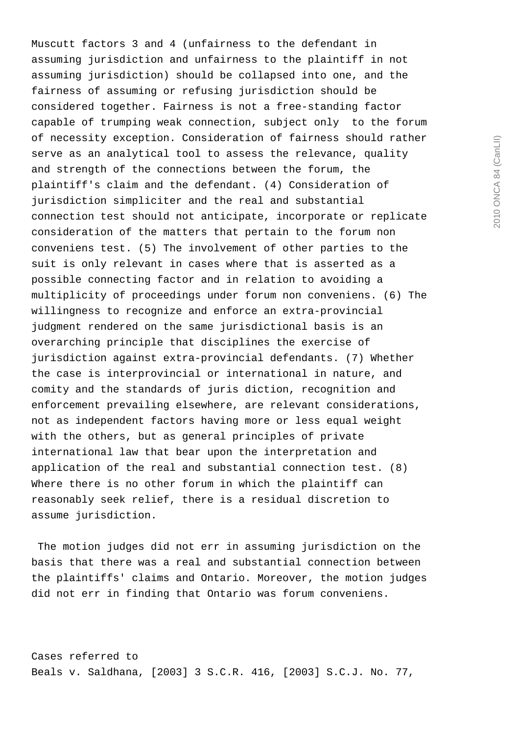Muscutt factors 3 and 4 (unfairness to the defendant in assuming jurisdiction and unfairness to the plaintiff in not assuming jurisdiction) should be collapsed into one, and the fairness of assuming or refusing jurisdiction should be considered together. Fairness is not a free-standing factor capable of trumping weak connection, subject only to the forum of necessity exception. Consideration of fairness should rather serve as an analytical tool to assess the relevance, quality and strength of the connections between the forum, the plaintiff's claim and the defendant. (4) Consideration of jurisdiction simpliciter and the real and substantial connection test should not anticipate, incorporate or replicate consideration of the matters that pertain to the forum non conveniens test. (5) The involvement of other parties to the suit is only relevant in cases where that is asserted as a possible connecting factor and in relation to avoiding a multiplicity of proceedings under forum non conveniens. (6) The willingness to recognize and enforce an extra-provincial judgment rendered on the same jurisdictional basis is an overarching principle that disciplines the exercise of jurisdiction against extra-provincial defendants. (7) Whether the case is interprovincial or international in nature, and comity and the standards of juris diction, recognition and enforcement prevailing elsewhere, are relevant considerations, not as independent factors having more or less equal weight with the others, but as general principles of private international law that bear upon the interpretation and application of the real and substantial connection test. (8) Where there is no other forum in which the plaintiff can reasonably seek relief, there is a residual discretion to assume jurisdiction.

 The motion judges did not err in assuming jurisdiction on the basis that there was a real and substantial connection between the plaintiffs' claims and Ontario. Moreover, the motion judges did not err in finding that Ontario was forum conveniens.

Cases referred to Beals v. Saldhana, [2003] 3 S.C.R. 416, [2003] S.C.J. No. 77,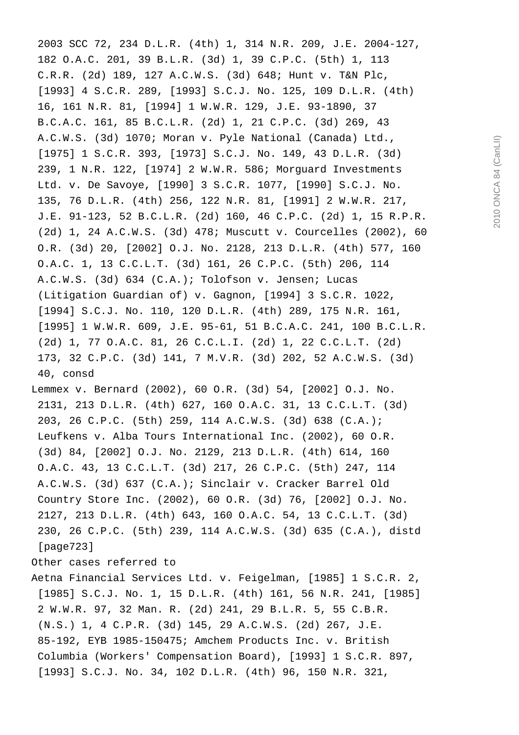2003 SCC 72, 234 D.L.R. (4th) 1, 314 N.R. 209, J.E. 2004-127, 182 O.A.C. 201, 39 B.L.R. (3d) 1, 39 C.P.C. (5th) 1, 113 C.R.R. (2d) 189, 127 A.C.W.S. (3d) 648; Hunt v. T&N Plc, [1993] 4 S.C.R. 289, [1993] S.C.J. No. 125, 109 D.L.R. (4th) 16, 161 N.R. 81, [1994] 1 W.W.R. 129, J.E. 93-1890, 37 B.C.A.C. 161, 85 B.C.L.R. (2d) 1, 21 C.P.C. (3d) 269, 43 A.C.W.S. (3d) 1070; Moran v. Pyle National (Canada) Ltd., [1975] 1 S.C.R. 393, [1973] S.C.J. No. 149, 43 D.L.R. (3d) 239, 1 N.R. 122, [1974] 2 W.W.R. 586; Morguard Investments Ltd. v. De Savoye, [1990] 3 S.C.R. 1077, [1990] S.C.J. No. 135, 76 D.L.R. (4th) 256, 122 N.R. 81, [1991] 2 W.W.R. 217, J.E. 91-123, 52 B.C.L.R. (2d) 160, 46 C.P.C. (2d) 1, 15 R.P.R. (2d) 1, 24 A.C.W.S. (3d) 478; Muscutt v. Courcelles (2002), 60 O.R. (3d) 20, [2002] O.J. No. 2128, 213 D.L.R. (4th) 577, 160 O.A.C. 1, 13 C.C.L.T. (3d) 161, 26 C.P.C. (5th) 206, 114 A.C.W.S. (3d) 634 (C.A.); Tolofson v. Jensen; Lucas (Litigation Guardian of) v. Gagnon, [1994] 3 S.C.R. 1022, [1994] S.C.J. No. 110, 120 D.L.R. (4th) 289, 175 N.R. 161, [1995] 1 W.W.R. 609, J.E. 95-61, 51 B.C.A.C. 241, 100 B.C.L.R. (2d) 1, 77 O.A.C. 81, 26 C.C.L.I. (2d) 1, 22 C.C.L.T. (2d) 173, 32 C.P.C. (3d) 141, 7 M.V.R. (3d) 202, 52 A.C.W.S. (3d) 40, consd Lemmex v. Bernard (2002), 60 O.R. (3d) 54, [2002] O.J. No. 2131, 213 D.L.R. (4th) 627, 160 O.A.C. 31, 13 C.C.L.T. (3d) 203, 26 C.P.C. (5th) 259, 114 A.C.W.S. (3d) 638 (C.A.);

 Leufkens v. Alba Tours International Inc. (2002), 60 O.R. (3d) 84, [2002] O.J. No. 2129, 213 D.L.R. (4th) 614, 160 O.A.C. 43, 13 C.C.L.T. (3d) 217, 26 C.P.C. (5th) 247, 114 A.C.W.S. (3d) 637 (C.A.); Sinclair v. Cracker Barrel Old Country Store Inc. (2002), 60 O.R. (3d) 76, [2002] O.J. No. 2127, 213 D.L.R. (4th) 643, 160 O.A.C. 54, 13 C.C.L.T. (3d) 230, 26 C.P.C. (5th) 239, 114 A.C.W.S. (3d) 635 (C.A.), distd [page723]

Other cases referred to

Aetna Financial Services Ltd. v. Feigelman, [1985] 1 S.C.R. 2, [1985] S.C.J. No. 1, 15 D.L.R. (4th) 161, 56 N.R. 241, [1985] 2 W.W.R. 97, 32 Man. R. (2d) 241, 29 B.L.R. 5, 55 C.B.R. (N.S.) 1, 4 C.P.R. (3d) 145, 29 A.C.W.S. (2d) 267, J.E. 85-192, EYB 1985-150475; Amchem Products Inc. v. British Columbia (Workers' Compensation Board), [1993] 1 S.C.R. 897, [1993] S.C.J. No. 34, 102 D.L.R. (4th) 96, 150 N.R. 321,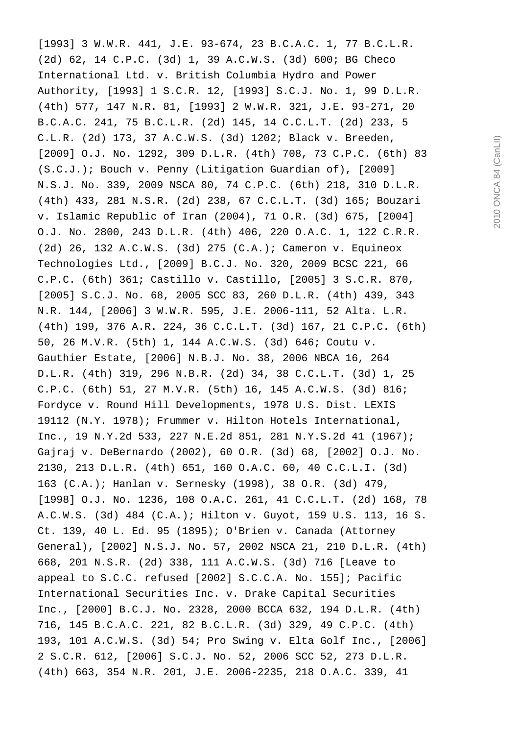[1993] 3 W.W.R. 441, J.E. 93-674, 23 B.C.A.C. 1, 77 B.C.L.R. (2d) 62, 14 C.P.C. (3d) 1, 39 A.C.W.S. (3d) 600; BG Checo International Ltd. v. British Columbia Hydro and Power Authority, [1993] 1 S.C.R. 12, [1993] S.C.J. No. 1, 99 D.L.R. (4th) 577, 147 N.R. 81, [1993] 2 W.W.R. 321, J.E. 93-271, 20 B.C.A.C. 241, 75 B.C.L.R. (2d) 145, 14 C.C.L.T. (2d) 233, 5 C.L.R. (2d) 173, 37 A.C.W.S. (3d) 1202; Black v. Breeden, [2009] O.J. No. 1292, 309 D.L.R. (4th) 708, 73 C.P.C. (6th) 83 (S.C.J.); Bouch v. Penny (Litigation Guardian of), [2009] N.S.J. No. 339, 2009 NSCA 80, 74 C.P.C. (6th) 218, 310 D.L.R. (4th) 433, 281 N.S.R. (2d) 238, 67 C.C.L.T. (3d) 165; Bouzari v. Islamic Republic of Iran (2004), 71 O.R. (3d) 675, [2004] O.J. No. 2800, 243 D.L.R. (4th) 406, 220 O.A.C. 1, 122 C.R.R. (2d) 26, 132 A.C.W.S. (3d) 275 (C.A.); Cameron v. Equineox Technologies Ltd., [2009] B.C.J. No. 320, 2009 BCSC 221, 66 C.P.C. (6th) 361; Castillo v. Castillo, [2005] 3 S.C.R. 870, [2005] S.C.J. No. 68, 2005 SCC 83, 260 D.L.R. (4th) 439, 343 N.R. 144, [2006] 3 W.W.R. 595, J.E. 2006-111, 52 Alta. L.R. (4th) 199, 376 A.R. 224, 36 C.C.L.T. (3d) 167, 21 C.P.C. (6th) 50, 26 M.V.R. (5th) 1, 144 A.C.W.S. (3d) 646; Coutu v. Gauthier Estate, [2006] N.B.J. No. 38, 2006 NBCA 16, 264 D.L.R. (4th) 319, 296 N.B.R. (2d) 34, 38 C.C.L.T. (3d) 1, 25 C.P.C. (6th) 51, 27 M.V.R. (5th) 16, 145 A.C.W.S. (3d) 816; Fordyce v. Round Hill Developments, 1978 U.S. Dist. LEXIS 19112 (N.Y. 1978); Frummer v. Hilton Hotels International, Inc., 19 N.Y.2d 533, 227 N.E.2d 851, 281 N.Y.S.2d 41 (1967); Gajraj v. DeBernardo (2002), 60 O.R. (3d) 68, [2002] O.J. No. 2130, 213 D.L.R. (4th) 651, 160 O.A.C. 60, 40 C.C.L.I. (3d) 163 (C.A.); Hanlan v. Sernesky (1998), 38 O.R. (3d) 479, [1998] O.J. No. 1236, 108 O.A.C. 261, 41 C.C.L.T. (2d) 168, 78 A.C.W.S. (3d) 484 (C.A.); Hilton v. Guyot, 159 U.S. 113, 16 S. Ct. 139, 40 L. Ed. 95 (1895); O'Brien v. Canada (Attorney General), [2002] N.S.J. No. 57, 2002 NSCA 21, 210 D.L.R. (4th) 668, 201 N.S.R. (2d) 338, 111 A.C.W.S. (3d) 716 [Leave to appeal to S.C.C. refused [2002] S.C.C.A. No. 155]; Pacific International Securities Inc. v. Drake Capital Securities Inc., [2000] B.C.J. No. 2328, 2000 BCCA 632, 194 D.L.R. (4th) 716, 145 B.C.A.C. 221, 82 B.C.L.R. (3d) 329, 49 C.P.C. (4th) 193, 101 A.C.W.S. (3d) 54; Pro Swing v. Elta Golf Inc., [2006] 2 S.C.R. 612, [2006] S.C.J. No. 52, 2006 SCC 52, 273 D.L.R. (4th) 663, 354 N.R. 201, J.E. 2006-2235, 218 O.A.C. 339, 41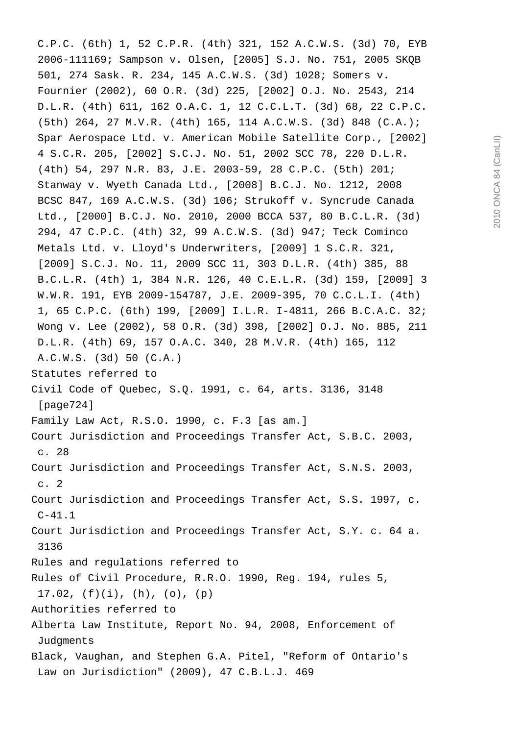C.P.C. (6th) 1, 52 C.P.R. (4th) 321, 152 A.C.W.S. (3d) 70, EYB 2006-111169; Sampson v. Olsen, [2005] S.J. No. 751, 2005 SKQB 501, 274 Sask. R. 234, 145 A.C.W.S. (3d) 1028; Somers v. Fournier (2002), 60 O.R. (3d) 225, [2002] O.J. No. 2543, 214 D.L.R. (4th) 611, 162 O.A.C. 1, 12 C.C.L.T. (3d) 68, 22 C.P.C. (5th) 264, 27 M.V.R. (4th) 165, 114 A.C.W.S. (3d) 848 (C.A.); Spar Aerospace Ltd. v. American Mobile Satellite Corp., [2002] 4 S.C.R. 205, [2002] S.C.J. No. 51, 2002 SCC 78, 220 D.L.R. (4th) 54, 297 N.R. 83, J.E. 2003-59, 28 C.P.C. (5th) 201; Stanway v. Wyeth Canada Ltd., [2008] B.C.J. No. 1212, 2008 BCSC 847, 169 A.C.W.S. (3d) 106; Strukoff v. Syncrude Canada Ltd., [2000] B.C.J. No. 2010, 2000 BCCA 537, 80 B.C.L.R. (3d) 294, 47 C.P.C. (4th) 32, 99 A.C.W.S. (3d) 947; Teck Cominco Metals Ltd. v. Lloyd's Underwriters, [2009] 1 S.C.R. 321, [2009] S.C.J. No. 11, 2009 SCC 11, 303 D.L.R. (4th) 385, 88 B.C.L.R. (4th) 1, 384 N.R. 126, 40 C.E.L.R. (3d) 159, [2009] 3 W.W.R. 191, EYB 2009-154787, J.E. 2009-395, 70 C.C.L.I. (4th) 1, 65 C.P.C. (6th) 199, [2009] I.L.R. I-4811, 266 B.C.A.C. 32; Wong v. Lee (2002), 58 O.R. (3d) 398, [2002] O.J. No. 885, 211 D.L.R. (4th) 69, 157 O.A.C. 340, 28 M.V.R. (4th) 165, 112 A.C.W.S. (3d) 50 (C.A.) Statutes referred to Civil Code of Quebec, S.Q. 1991, c. 64, arts. 3136, 3148 [page724] Family Law Act, R.S.O. 1990, c. F.3 [as am.] Court Jurisdiction and Proceedings Transfer Act, S.B.C. 2003, c. 28 Court Jurisdiction and Proceedings Transfer Act, S.N.S. 2003, c. 2 Court Jurisdiction and Proceedings Transfer Act, S.S. 1997, c. C-41.1 Court Jurisdiction and Proceedings Transfer Act, S.Y. c. 64 a. 3136 Rules and regulations referred to Rules of Civil Procedure, R.R.O. 1990, Reg. 194, rules 5,  $17.02$ ,  $(f)(i)$ ,  $(h)$ ,  $(o)$ ,  $(p)$ Authorities referred to Alberta Law Institute, Report No. 94, 2008, Enforcement of Judgments Black, Vaughan, and Stephen G.A. Pitel, "Reform of Ontario's Law on Jurisdiction" (2009), 47 C.B.L.J. 469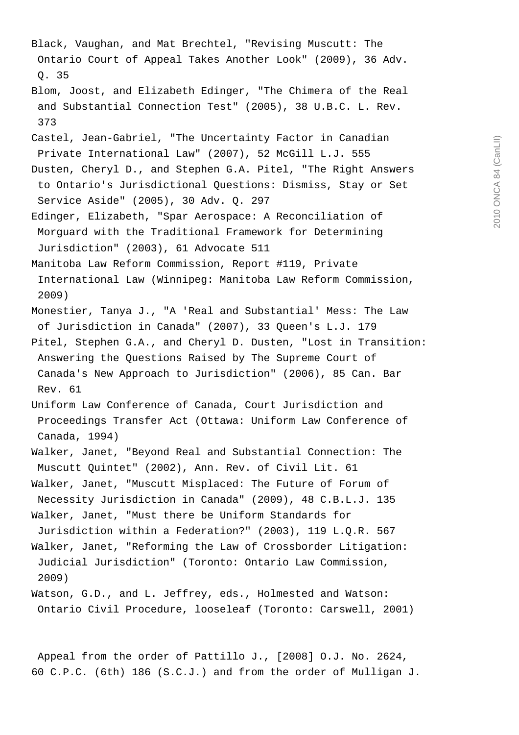Black, Vaughan, and Mat Brechtel, "Revising Muscutt: The Ontario Court of Appeal Takes Another Look" (2009), 36 Adv. Q. 35 Blom, Joost, and Elizabeth Edinger, "The Chimera of the Real and Substantial Connection Test" (2005), 38 U.B.C. L. Rev. 373 Castel, Jean-Gabriel, "The Uncertainty Factor in Canadian Private International Law" (2007), 52 McGill L.J. 555 Dusten, Cheryl D., and Stephen G.A. Pitel, "The Right Answers to Ontario's Jurisdictional Questions: Dismiss, Stay or Set Service Aside" (2005), 30 Adv. Q. 297 Edinger, Elizabeth, "Spar Aerospace: A Reconciliation of Morguard with the Traditional Framework for Determining Jurisdiction" (2003), 61 Advocate 511 Manitoba Law Reform Commission, Report #119, Private International Law (Winnipeg: Manitoba Law Reform Commission, 2009) Monestier, Tanya J., "A 'Real and Substantial' Mess: The Law of Jurisdiction in Canada" (2007), 33 Queen's L.J. 179 Pitel, Stephen G.A., and Cheryl D. Dusten, "Lost in Transition: Answering the Questions Raised by The Supreme Court of Canada's New Approach to Jurisdiction" (2006), 85 Can. Bar Rev. 61 Uniform Law Conference of Canada, Court Jurisdiction and Proceedings Transfer Act (Ottawa: Uniform Law Conference of Canada, 1994) Walker, Janet, "Beyond Real and Substantial Connection: The Muscutt Quintet" (2002), Ann. Rev. of Civil Lit. 61 Walker, Janet, "Muscutt Misplaced: The Future of Forum of Necessity Jurisdiction in Canada" (2009), 48 C.B.L.J. 135 Walker, Janet, "Must there be Uniform Standards for Jurisdiction within a Federation?" (2003), 119 L.Q.R. 567 Walker, Janet, "Reforming the Law of Crossborder Litigation: Judicial Jurisdiction" (Toronto: Ontario Law Commission, 2009) Watson, G.D., and L. Jeffrey, eds., Holmested and Watson:

 Appeal from the order of Pattillo J., [2008] O.J. No. 2624, 60 C.P.C. (6th) 186 (S.C.J.) and from the order of Mulligan J.

Ontario Civil Procedure, looseleaf (Toronto: Carswell, 2001)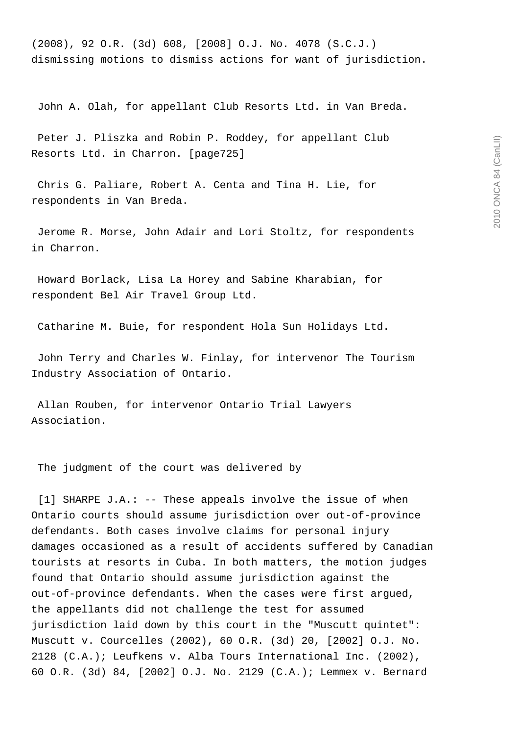(2008), 92 O.R. (3d) 608, [2008] O.J. No. 4078 (S.C.J.) dismissing motions to dismiss actions for want of jurisdiction.

John A. Olah, for appellant Club Resorts Ltd. in Van Breda.

 Peter J. Pliszka and Robin P. Roddey, for appellant Club Resorts Ltd. in Charron. [page725]

 Chris G. Paliare, Robert A. Centa and Tina H. Lie, for respondents in Van Breda.

 Jerome R. Morse, John Adair and Lori Stoltz, for respondents in Charron.

 Howard Borlack, Lisa La Horey and Sabine Kharabian, for respondent Bel Air Travel Group Ltd.

Catharine M. Buie, for respondent Hola Sun Holidays Ltd.

 John Terry and Charles W. Finlay, for intervenor The Tourism Industry Association of Ontario.

 Allan Rouben, for intervenor Ontario Trial Lawyers Association.

The judgment of the court was delivered by

 [1] SHARPE J.A.: -- These appeals involve the issue of when Ontario courts should assume jurisdiction over out-of-province defendants. Both cases involve claims for personal injury damages occasioned as a result of accidents suffered by Canadian tourists at resorts in Cuba. In both matters, the motion judges found that Ontario should assume jurisdiction against the out-of-province defendants. When the cases were first argued, the appellants did not challenge the test for assumed jurisdiction laid down by this court in the "Muscutt quintet": Muscutt v. Courcelles (2002), 60 O.R. (3d) 20, [2002] O.J. No. 2128 (C.A.); Leufkens v. Alba Tours International Inc. (2002), 60 O.R. (3d) 84, [2002] O.J. No. 2129 (C.A.); Lemmex v. Bernard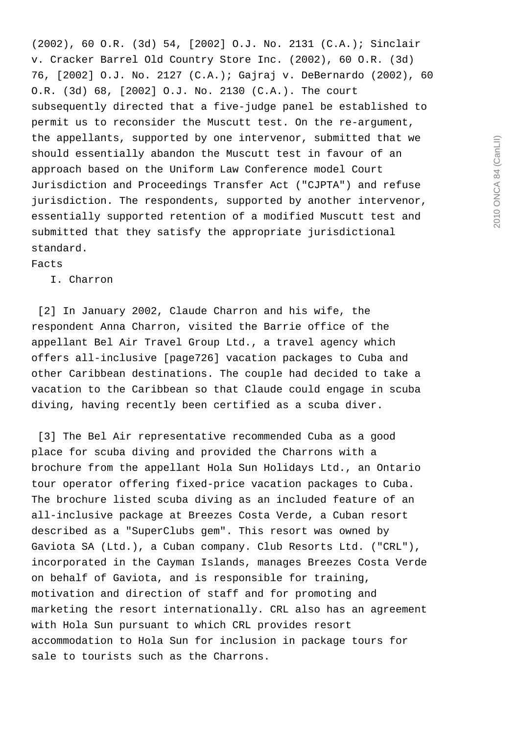(2002), 60 O.R. (3d) 54, [2002] O.J. No. 2131 (C.A.); Sinclair v. Cracker Barrel Old Country Store Inc. (2002), 60 O.R. (3d) 76, [2002] O.J. No. 2127 (C.A.); Gajraj v. DeBernardo (2002), 60 O.R. (3d) 68, [2002] O.J. No. 2130 (C.A.). The court subsequently directed that a five-judge panel be established to permit us to reconsider the Muscutt test. On the re-argument, the appellants, supported by one intervenor, submitted that we should essentially abandon the Muscutt test in favour of an approach based on the Uniform Law Conference model Court Jurisdiction and Proceedings Transfer Act ("CJPTA") and refuse jurisdiction. The respondents, supported by another intervenor, essentially supported retention of a modified Muscutt test and submitted that they satisfy the appropriate jurisdictional standard.

Facts

I. Charron

[2] In January 2002, Claude Charron and his wife, the respondent Anna Charron, visited the Barrie office of the appellant Bel Air Travel Group Ltd., a travel agency which offers all-inclusive [page726] vacation packages to Cuba and other Caribbean destinations. The couple had decided to take a vacation to the Caribbean so that Claude could engage in scuba diving, having recently been certified as a scuba diver.

 [3] The Bel Air representative recommended Cuba as a good place for scuba diving and provided the Charrons with a brochure from the appellant Hola Sun Holidays Ltd., an Ontario tour operator offering fixed-price vacation packages to Cuba. The brochure listed scuba diving as an included feature of an all-inclusive package at Breezes Costa Verde, a Cuban resort described as a "SuperClubs gem". This resort was owned by Gaviota SA (Ltd.), a Cuban company. Club Resorts Ltd. ("CRL"), incorporated in the Cayman Islands, manages Breezes Costa Verde on behalf of Gaviota, and is responsible for training, motivation and direction of staff and for promoting and marketing the resort internationally. CRL also has an agreement with Hola Sun pursuant to which CRL provides resort accommodation to Hola Sun for inclusion in package tours for sale to tourists such as the Charrons.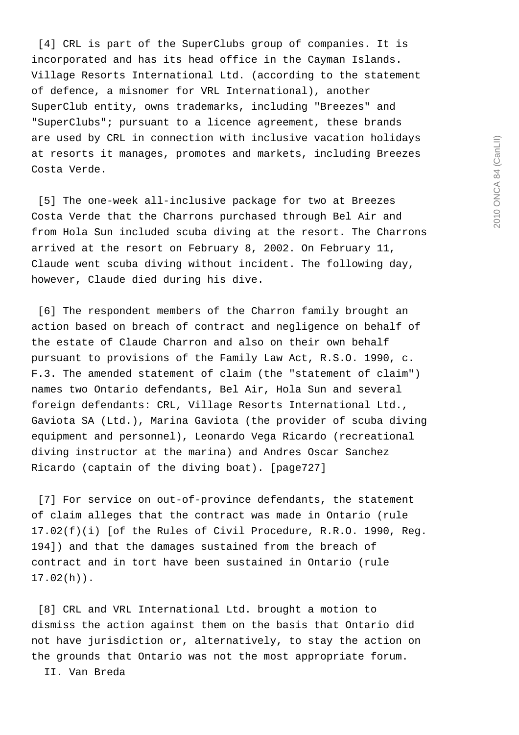[4] CRL is part of the SuperClubs group of companies. It is incorporated and has its head office in the Cayman Islands. Village Resorts International Ltd. (according to the statement of defence, a misnomer for VRL International), another SuperClub entity, owns trademarks, including "Breezes" and "SuperClubs"; pursuant to a licence agreement, these brands are used by CRL in connection with inclusive vacation holidays at resorts it manages, promotes and markets, including Breezes Costa Verde.

 [5] The one-week all-inclusive package for two at Breezes Costa Verde that the Charrons purchased through Bel Air and from Hola Sun included scuba diving at the resort. The Charrons arrived at the resort on February 8, 2002. On February 11, Claude went scuba diving without incident. The following day, however, Claude died during his dive.

 [6] The respondent members of the Charron family brought an action based on breach of contract and negligence on behalf of the estate of Claude Charron and also on their own behalf pursuant to provisions of the Family Law Act, R.S.O. 1990, c. F.3. The amended statement of claim (the "statement of claim") names two Ontario defendants, Bel Air, Hola Sun and several foreign defendants: CRL, Village Resorts International Ltd., Gaviota SA (Ltd.), Marina Gaviota (the provider of scuba diving equipment and personnel), Leonardo Vega Ricardo (recreational diving instructor at the marina) and Andres Oscar Sanchez Ricardo (captain of the diving boat). [page727]

 [7] For service on out-of-province defendants, the statement of claim alleges that the contract was made in Ontario (rule 17.02(f)(i) [of the Rules of Civil Procedure, R.R.O. 1990, Reg. 194]) and that the damages sustained from the breach of contract and in tort have been sustained in Ontario (rule 17.02(h)).

 [8] CRL and VRL International Ltd. brought a motion to dismiss the action against them on the basis that Ontario did not have jurisdiction or, alternatively, to stay the action on the grounds that Ontario was not the most appropriate forum.

II. Van Breda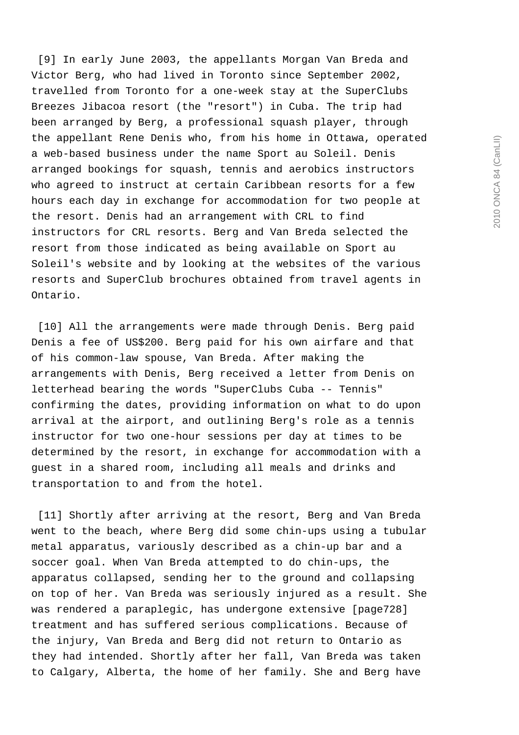[9] In early June 2003, the appellants Morgan Van Breda and Victor Berg, who had lived in Toronto since September 2002, travelled from Toronto for a one-week stay at the SuperClubs Breezes Jibacoa resort (the "resort") in Cuba. The trip had been arranged by Berg, a professional squash player, through the appellant Rene Denis who, from his home in Ottawa, operated a web-based business under the name Sport au Soleil. Denis arranged bookings for squash, tennis and aerobics instructors who agreed to instruct at certain Caribbean resorts for a few hours each day in exchange for accommodation for two people at the resort. Denis had an arrangement with CRL to find instructors for CRL resorts. Berg and Van Breda selected the resort from those indicated as being available on Sport au Soleil's website and by looking at the websites of the various resorts and SuperClub brochures obtained from travel agents in Ontario.

 [10] All the arrangements were made through Denis. Berg paid Denis a fee of US\$200. Berg paid for his own airfare and that of his common-law spouse, Van Breda. After making the arrangements with Denis, Berg received a letter from Denis on letterhead bearing the words "SuperClubs Cuba -- Tennis" confirming the dates, providing information on what to do upon arrival at the airport, and outlining Berg's role as a tennis instructor for two one-hour sessions per day at times to be determined by the resort, in exchange for accommodation with a guest in a shared room, including all meals and drinks and transportation to and from the hotel.

 [11] Shortly after arriving at the resort, Berg and Van Breda went to the beach, where Berg did some chin-ups using a tubular metal apparatus, variously described as a chin-up bar and a soccer goal. When Van Breda attempted to do chin-ups, the apparatus collapsed, sending her to the ground and collapsing on top of her. Van Breda was seriously injured as a result. She was rendered a paraplegic, has undergone extensive [page728] treatment and has suffered serious complications. Because of the injury, Van Breda and Berg did not return to Ontario as they had intended. Shortly after her fall, Van Breda was taken to Calgary, Alberta, the home of her family. She and Berg have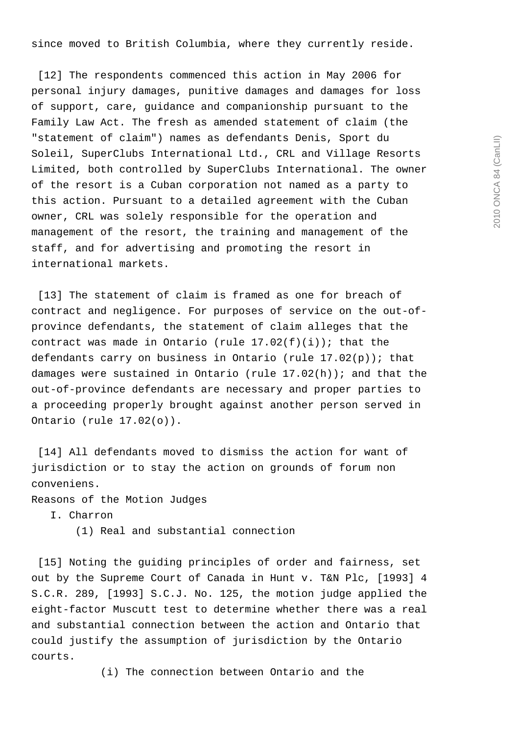since moved to British Columbia, where they currently reside.

 [12] The respondents commenced this action in May 2006 for personal injury damages, punitive damages and damages for loss of support, care, guidance and companionship pursuant to the Family Law Act. The fresh as amended statement of claim (the "statement of claim") names as defendants Denis, Sport du Soleil, SuperClubs International Ltd., CRL and Village Resorts Limited, both controlled by SuperClubs International. The owner of the resort is a Cuban corporation not named as a party to this action. Pursuant to a detailed agreement with the Cuban owner, CRL was solely responsible for the operation and management of the resort, the training and management of the staff, and for advertising and promoting the resort in international markets.

 [13] The statement of claim is framed as one for breach of contract and negligence. For purposes of service on the out-ofprovince defendants, the statement of claim alleges that the contract was made in Ontario (rule  $17.02(f)(i)$ ); that the defendants carry on business in Ontario (rule 17.02(p)); that damages were sustained in Ontario (rule 17.02(h)); and that the out-of-province defendants are necessary and proper parties to a proceeding properly brought against another person served in Ontario (rule 17.02(o)).

 [14] All defendants moved to dismiss the action for want of jurisdiction or to stay the action on grounds of forum non conveniens.

Reasons of the Motion Judges

I. Charron

(1) Real and substantial connection

 [15] Noting the guiding principles of order and fairness, set out by the Supreme Court of Canada in Hunt v. T&N Plc, [1993] 4 S.C.R. 289, [1993] S.C.J. No. 125, the motion judge applied the eight-factor Muscutt test to determine whether there was a real and substantial connection between the action and Ontario that could justify the assumption of jurisdiction by the Ontario courts.

(i) The connection between Ontario and the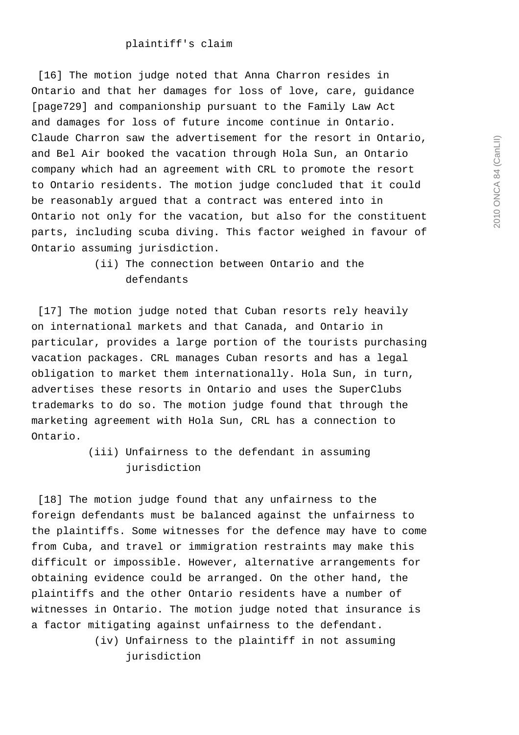[16] The motion judge noted that Anna Charron resides in Ontario and that her damages for loss of love, care, guidance [page729] and companionship pursuant to the Family Law Act and damages for loss of future income continue in Ontario. Claude Charron saw the advertisement for the resort in Ontario, and Bel Air booked the vacation through Hola Sun, an Ontario company which had an agreement with CRL to promote the resort to Ontario residents. The motion judge concluded that it could be reasonably argued that a contract was entered into in Ontario not only for the vacation, but also for the constituent parts, including scuba diving. This factor weighed in favour of Ontario assuming jurisdiction.

> (ii) The connection between Ontario and the defendants

 [17] The motion judge noted that Cuban resorts rely heavily on international markets and that Canada, and Ontario in particular, provides a large portion of the tourists purchasing vacation packages. CRL manages Cuban resorts and has a legal obligation to market them internationally. Hola Sun, in turn, advertises these resorts in Ontario and uses the SuperClubs trademarks to do so. The motion judge found that through the marketing agreement with Hola Sun, CRL has a connection to Ontario.

> (iii) Unfairness to the defendant in assuming jurisdiction

 [18] The motion judge found that any unfairness to the foreign defendants must be balanced against the unfairness to the plaintiffs. Some witnesses for the defence may have to come from Cuba, and travel or immigration restraints may make this difficult or impossible. However, alternative arrangements for obtaining evidence could be arranged. On the other hand, the plaintiffs and the other Ontario residents have a number of witnesses in Ontario. The motion judge noted that insurance is a factor mitigating against unfairness to the defendant.

> (iv) Unfairness to the plaintiff in not assuming jurisdiction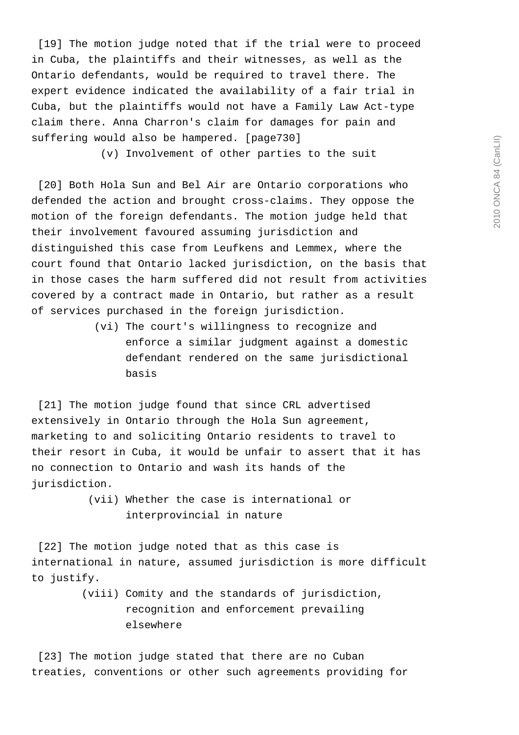[19] The motion judge noted that if the trial were to proceed in Cuba, the plaintiffs and their witnesses, as well as the Ontario defendants, would be required to travel there. The expert evidence indicated the availability of a fair trial in Cuba, but the plaintiffs would not have a Family Law Act-type claim there. Anna Charron's claim for damages for pain and suffering would also be hampered. [page730]

(v) Involvement of other parties to the suit

[20] Both Hola Sun and Bel Air are Ontario corporations who defended the action and brought cross-claims. They oppose the motion of the foreign defendants. The motion judge held that their involvement favoured assuming jurisdiction and distinguished this case from Leufkens and Lemmex, where the court found that Ontario lacked jurisdiction, on the basis that in those cases the harm suffered did not result from activities covered by a contract made in Ontario, but rather as a result of services purchased in the foreign jurisdiction.

> (vi) The court's willingness to recognize and enforce a similar judgment against a domestic defendant rendered on the same jurisdictional basis

[21] The motion judge found that since CRL advertised extensively in Ontario through the Hola Sun agreement, marketing to and soliciting Ontario residents to travel to their resort in Cuba, it would be unfair to assert that it has no connection to Ontario and wash its hands of the jurisdiction.

> (vii) Whether the case is international or interprovincial in nature

[22] The motion judge noted that as this case is international in nature, assumed jurisdiction is more difficult to justify.

> (viii) Comity and the standards of jurisdiction, recognition and enforcement prevailing elsewhere

[23] The motion judge stated that there are no Cuban treaties, conventions or other such agreements providing for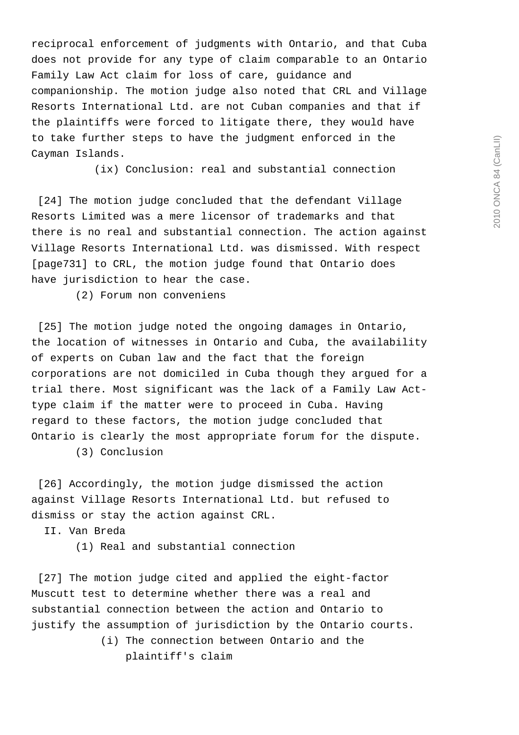2010 ONCA 84 (CanLII) 2010 ONCA 84 (CanLII)

reciprocal enforcement of judgments with Ontario, and that Cuba does not provide for any type of claim comparable to an Ontario Family Law Act claim for loss of care, guidance and companionship. The motion judge also noted that CRL and Village Resorts International Ltd. are not Cuban companies and that if the plaintiffs were forced to litigate there, they would have to take further steps to have the judgment enforced in the Cayman Islands.

(ix) Conclusion: real and substantial connection

 [24] The motion judge concluded that the defendant Village Resorts Limited was a mere licensor of trademarks and that there is no real and substantial connection. The action against Village Resorts International Ltd. was dismissed. With respect [page731] to CRL, the motion judge found that Ontario does have jurisdiction to hear the case.

(2) Forum non conveniens

[25] The motion judge noted the ongoing damages in Ontario, the location of witnesses in Ontario and Cuba, the availability of experts on Cuban law and the fact that the foreign corporations are not domiciled in Cuba though they argued for a trial there. Most significant was the lack of a Family Law Acttype claim if the matter were to proceed in Cuba. Having regard to these factors, the motion judge concluded that Ontario is clearly the most appropriate forum for the dispute.

(3) Conclusion

[26] Accordingly, the motion judge dismissed the action against Village Resorts International Ltd. but refused to dismiss or stay the action against CRL.

II. Van Breda

(1) Real and substantial connection

[27] The motion judge cited and applied the eight-factor Muscutt test to determine whether there was a real and substantial connection between the action and Ontario to justify the assumption of jurisdiction by the Ontario courts.

> (i) The connection between Ontario and the plaintiff's claim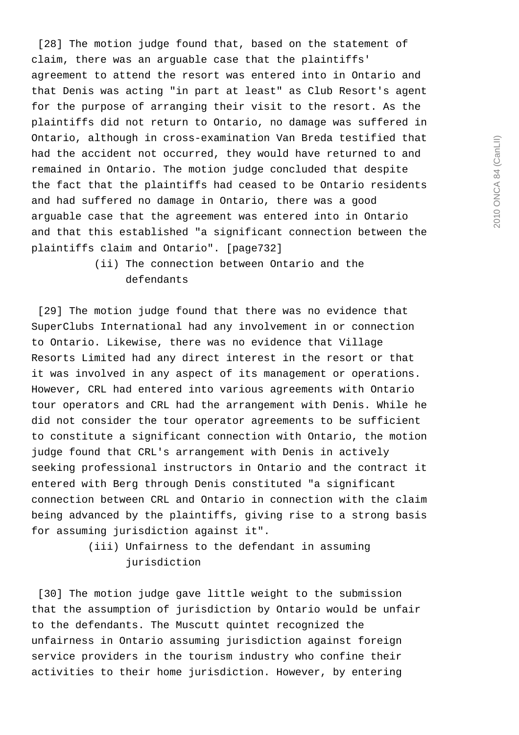[28] The motion judge found that, based on the statement of claim, there was an arguable case that the plaintiffs' agreement to attend the resort was entered into in Ontario and that Denis was acting "in part at least" as Club Resort's agent for the purpose of arranging their visit to the resort. As the plaintiffs did not return to Ontario, no damage was suffered in Ontario, although in cross-examination Van Breda testified that had the accident not occurred, they would have returned to and remained in Ontario. The motion judge concluded that despite the fact that the plaintiffs had ceased to be Ontario residents and had suffered no damage in Ontario, there was a good arguable case that the agreement was entered into in Ontario and that this established "a significant connection between the plaintiffs claim and Ontario". [page732]

# (ii) The connection between Ontario and the defendants

 [29] The motion judge found that there was no evidence that SuperClubs International had any involvement in or connection to Ontario. Likewise, there was no evidence that Village Resorts Limited had any direct interest in the resort or that it was involved in any aspect of its management or operations. However, CRL had entered into various agreements with Ontario tour operators and CRL had the arrangement with Denis. While he did not consider the tour operator agreements to be sufficient to constitute a significant connection with Ontario, the motion judge found that CRL's arrangement with Denis in actively seeking professional instructors in Ontario and the contract it entered with Berg through Denis constituted "a significant connection between CRL and Ontario in connection with the claim being advanced by the plaintiffs, giving rise to a strong basis for assuming jurisdiction against it".

> (iii) Unfairness to the defendant in assuming jurisdiction

 [30] The motion judge gave little weight to the submission that the assumption of jurisdiction by Ontario would be unfair to the defendants. The Muscutt quintet recognized the unfairness in Ontario assuming jurisdiction against foreign service providers in the tourism industry who confine their activities to their home jurisdiction. However, by entering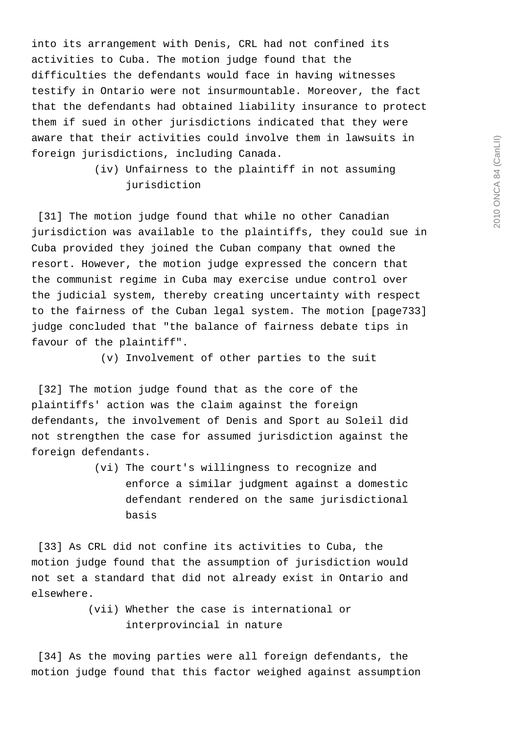into its arrangement with Denis, CRL had not confined its activities to Cuba. The motion judge found that the difficulties the defendants would face in having witnesses testify in Ontario were not insurmountable. Moreover, the fact that the defendants had obtained liability insurance to protect them if sued in other jurisdictions indicated that they were aware that their activities could involve them in lawsuits in foreign jurisdictions, including Canada.

> (iv) Unfairness to the plaintiff in not assuming jurisdiction

[31] The motion judge found that while no other Canadian jurisdiction was available to the plaintiffs, they could sue in Cuba provided they joined the Cuban company that owned the resort. However, the motion judge expressed the concern that the communist regime in Cuba may exercise undue control over the judicial system, thereby creating uncertainty with respect to the fairness of the Cuban legal system. The motion [page733] judge concluded that "the balance of fairness debate tips in favour of the plaintiff".

(v) Involvement of other parties to the suit

 [32] The motion judge found that as the core of the plaintiffs' action was the claim against the foreign defendants, the involvement of Denis and Sport au Soleil did not strengthen the case for assumed jurisdiction against the foreign defendants.

> (vi) The court's willingness to recognize and enforce a similar judgment against a domestic defendant rendered on the same jurisdictional basis

 [33] As CRL did not confine its activities to Cuba, the motion judge found that the assumption of jurisdiction would not set a standard that did not already exist in Ontario and elsewhere.

> (vii) Whether the case is international or interprovincial in nature

 [34] As the moving parties were all foreign defendants, the motion judge found that this factor weighed against assumption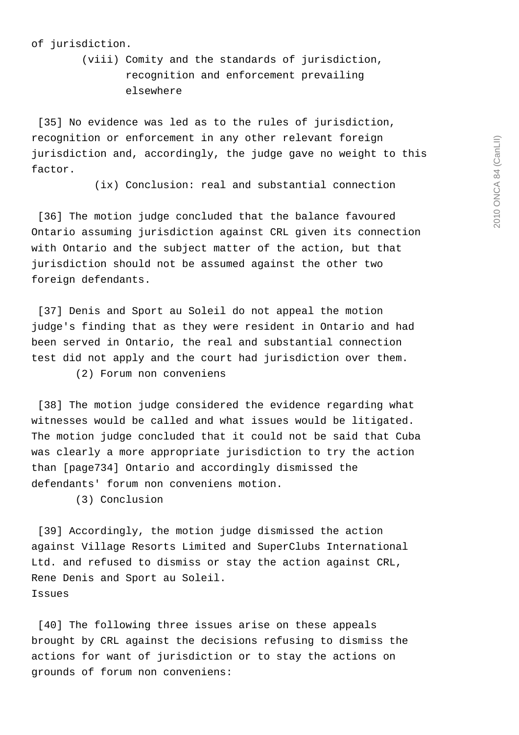# 2010 ONCA 84 (CanLII) 2010 ONCA 84 (CanLII)

#### of jurisdiction.

 (viii) Comity and the standards of jurisdiction, recognition and enforcement prevailing elsewhere

[35] No evidence was led as to the rules of jurisdiction, recognition or enforcement in any other relevant foreign jurisdiction and, accordingly, the judge gave no weight to this factor.

(ix) Conclusion: real and substantial connection

[36] The motion judge concluded that the balance favoured Ontario assuming jurisdiction against CRL given its connection with Ontario and the subject matter of the action, but that jurisdiction should not be assumed against the other two foreign defendants.

 [37] Denis and Sport au Soleil do not appeal the motion judge's finding that as they were resident in Ontario and had been served in Ontario, the real and substantial connection test did not apply and the court had jurisdiction over them. (2) Forum non conveniens

[38] The motion judge considered the evidence regarding what witnesses would be called and what issues would be litigated. The motion judge concluded that it could not be said that Cuba was clearly a more appropriate jurisdiction to try the action than [page734] Ontario and accordingly dismissed the defendants' forum non conveniens motion.

(3) Conclusion

[39] Accordingly, the motion judge dismissed the action against Village Resorts Limited and SuperClubs International Ltd. and refused to dismiss or stay the action against CRL, Rene Denis and Sport au Soleil. Issues

[40] The following three issues arise on these appeals brought by CRL against the decisions refusing to dismiss the actions for want of jurisdiction or to stay the actions on grounds of forum non conveniens: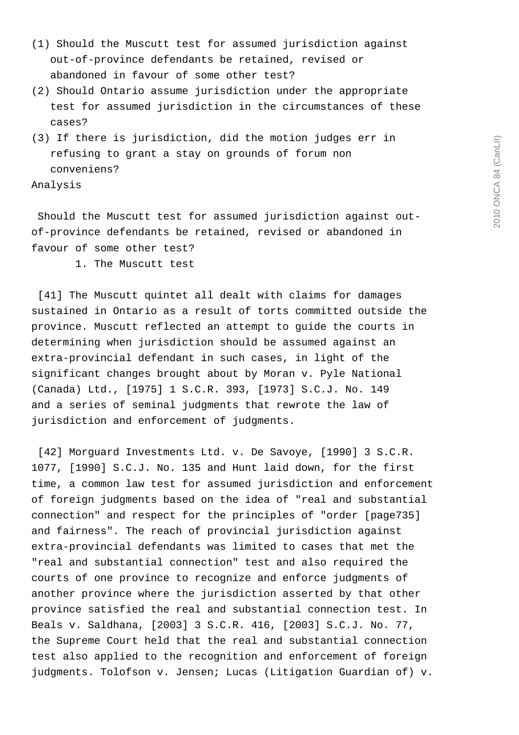- (1) Should the Muscutt test for assumed jurisdiction against out-of-province defendants be retained, revised or abandoned in favour of some other test?
- (2) Should Ontario assume jurisdiction under the appropriate test for assumed jurisdiction in the circumstances of these cases?
- (3) If there is jurisdiction, did the motion judges err in refusing to grant a stay on grounds of forum non conveniens?

Analysis

 Should the Muscutt test for assumed jurisdiction against outof-province defendants be retained, revised or abandoned in favour of some other test?

1. The Muscutt test

[41] The Muscutt quintet all dealt with claims for damages sustained in Ontario as a result of torts committed outside the province. Muscutt reflected an attempt to guide the courts in determining when jurisdiction should be assumed against an extra-provincial defendant in such cases, in light of the significant changes brought about by Moran v. Pyle National (Canada) Ltd., [1975] 1 S.C.R. 393, [1973] S.C.J. No. 149 and a series of seminal judgments that rewrote the law of jurisdiction and enforcement of judgments.

 [42] Morguard Investments Ltd. v. De Savoye, [1990] 3 S.C.R. 1077, [1990] S.C.J. No. 135 and Hunt laid down, for the first time, a common law test for assumed jurisdiction and enforcement of foreign judgments based on the idea of "real and substantial connection" and respect for the principles of "order [page735] and fairness". The reach of provincial jurisdiction against extra-provincial defendants was limited to cases that met the "real and substantial connection" test and also required the courts of one province to recognize and enforce judgments of another province where the jurisdiction asserted by that other province satisfied the real and substantial connection test. In Beals v. Saldhana, [2003] 3 S.C.R. 416, [2003] S.C.J. No. 77, the Supreme Court held that the real and substantial connection test also applied to the recognition and enforcement of foreign judgments. Tolofson v. Jensen; Lucas (Litigation Guardian of) v.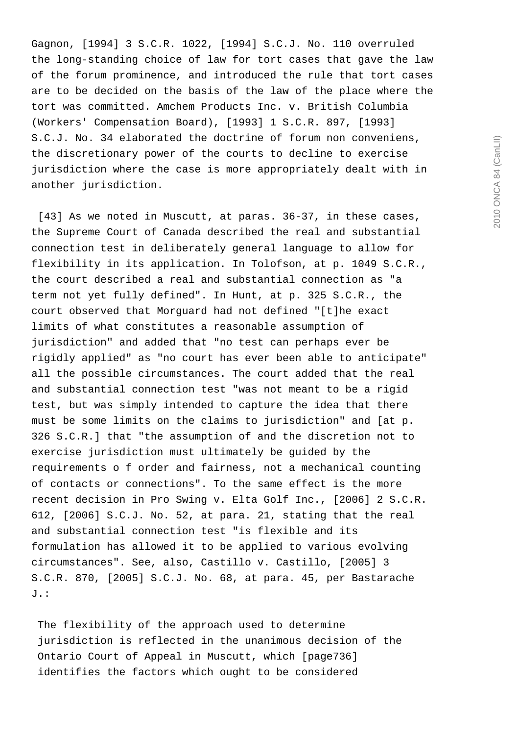Gagnon, [1994] 3 S.C.R. 1022, [1994] S.C.J. No. 110 overruled the long-standing choice of law for tort cases that gave the law of the forum prominence, and introduced the rule that tort cases are to be decided on the basis of the law of the place where the tort was committed. Amchem Products Inc. v. British Columbia (Workers' Compensation Board), [1993] 1 S.C.R. 897, [1993] S.C.J. No. 34 elaborated the doctrine of forum non conveniens, the discretionary power of the courts to decline to exercise jurisdiction where the case is more appropriately dealt with in another jurisdiction.

 [43] As we noted in Muscutt, at paras. 36-37, in these cases, the Supreme Court of Canada described the real and substantial connection test in deliberately general language to allow for flexibility in its application. In Tolofson, at p. 1049 S.C.R., the court described a real and substantial connection as "a term not yet fully defined". In Hunt, at p. 325 S.C.R., the court observed that Morguard had not defined "[t]he exact limits of what constitutes a reasonable assumption of jurisdiction" and added that "no test can perhaps ever be rigidly applied" as "no court has ever been able to anticipate" all the possible circumstances. The court added that the real and substantial connection test "was not meant to be a rigid test, but was simply intended to capture the idea that there must be some limits on the claims to jurisdiction" and [at p. 326 S.C.R.] that "the assumption of and the discretion not to exercise jurisdiction must ultimately be guided by the requirements o f order and fairness, not a mechanical counting of contacts or connections". To the same effect is the more recent decision in Pro Swing v. Elta Golf Inc., [2006] 2 S.C.R. 612, [2006] S.C.J. No. 52, at para. 21, stating that the real and substantial connection test "is flexible and its formulation has allowed it to be applied to various evolving circumstances". See, also, Castillo v. Castillo, [2005] 3 S.C.R. 870, [2005] S.C.J. No. 68, at para. 45, per Bastarache J.:

 The flexibility of the approach used to determine jurisdiction is reflected in the unanimous decision of the Ontario Court of Appeal in Muscutt, which [page736] identifies the factors which ought to be considered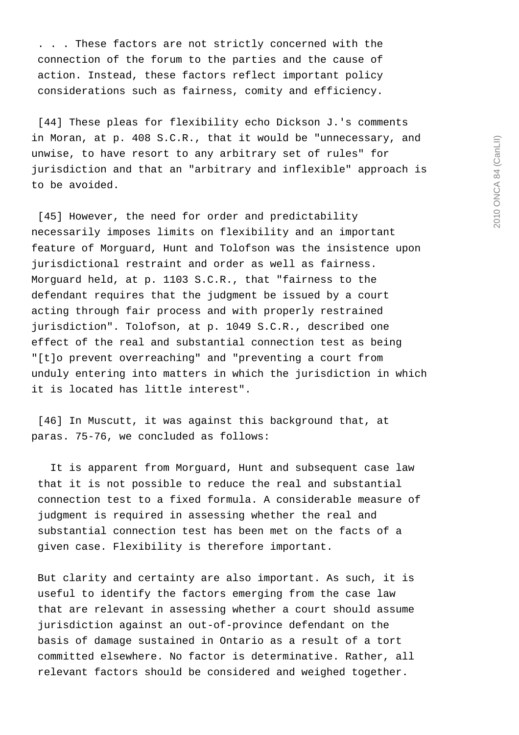. . . These factors are not strictly concerned with the connection of the forum to the parties and the cause of action. Instead, these factors reflect important policy considerations such as fairness, comity and efficiency.

 [44] These pleas for flexibility echo Dickson J.'s comments in Moran, at p. 408 S.C.R., that it would be "unnecessary, and unwise, to have resort to any arbitrary set of rules" for jurisdiction and that an "arbitrary and inflexible" approach is to be avoided.

[45] However, the need for order and predictability necessarily imposes limits on flexibility and an important feature of Morguard, Hunt and Tolofson was the insistence upon jurisdictional restraint and order as well as fairness. Morguard held, at p. 1103 S.C.R., that "fairness to the defendant requires that the judgment be issued by a court acting through fair process and with properly restrained jurisdiction". Tolofson, at p. 1049 S.C.R., described one effect of the real and substantial connection test as being "[t]o prevent overreaching" and "preventing a court from unduly entering into matters in which the jurisdiction in which it is located has little interest".

 [46] In Muscutt, it was against this background that, at paras. 75-76, we concluded as follows:

 It is apparent from Morguard, Hunt and subsequent case law that it is not possible to reduce the real and substantial connection test to a fixed formula. A considerable measure of judgment is required in assessing whether the real and substantial connection test has been met on the facts of a given case. Flexibility is therefore important.

 But clarity and certainty are also important. As such, it is useful to identify the factors emerging from the case law that are relevant in assessing whether a court should assume jurisdiction against an out-of-province defendant on the basis of damage sustained in Ontario as a result of a tort committed elsewhere. No factor is determinative. Rather, all relevant factors should be considered and weighed together.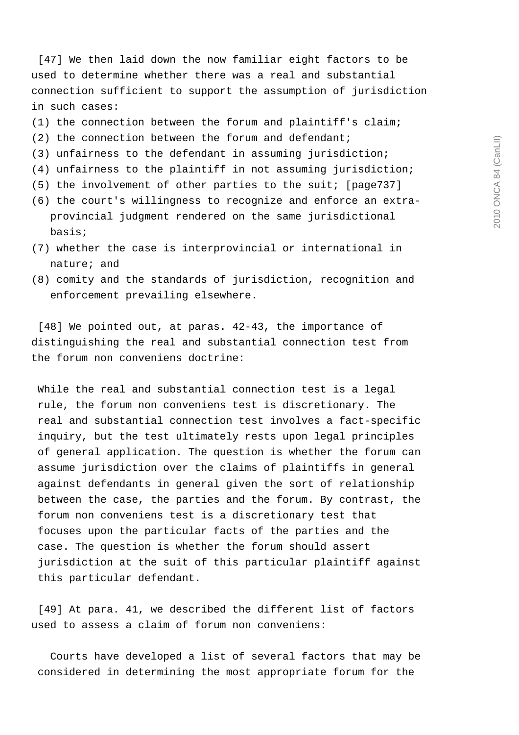[47] We then laid down the now familiar eight factors to be used to determine whether there was a real and substantial connection sufficient to support the assumption of jurisdiction in such cases:

- (1) the connection between the forum and plaintiff's claim;
- (2) the connection between the forum and defendant;
- (3) unfairness to the defendant in assuming jurisdiction;
- (4) unfairness to the plaintiff in not assuming jurisdiction;
- (5) the involvement of other parties to the suit; [page737]
- (6) the court's willingness to recognize and enforce an extra provincial judgment rendered on the same jurisdictional basis;
- (7) whether the case is interprovincial or international in nature; and
- (8) comity and the standards of jurisdiction, recognition and enforcement prevailing elsewhere.

[48] We pointed out, at paras. 42-43, the importance of distinguishing the real and substantial connection test from the forum non conveniens doctrine:

 While the real and substantial connection test is a legal rule, the forum non conveniens test is discretionary. The real and substantial connection test involves a fact-specific inquiry, but the test ultimately rests upon legal principles of general application. The question is whether the forum can assume jurisdiction over the claims of plaintiffs in general against defendants in general given the sort of relationship between the case, the parties and the forum. By contrast, the forum non conveniens test is a discretionary test that focuses upon the particular facts of the parties and the case. The question is whether the forum should assert jurisdiction at the suit of this particular plaintiff against this particular defendant.

 [49] At para. 41, we described the different list of factors used to assess a claim of forum non conveniens:

 Courts have developed a list of several factors that may be considered in determining the most appropriate forum for the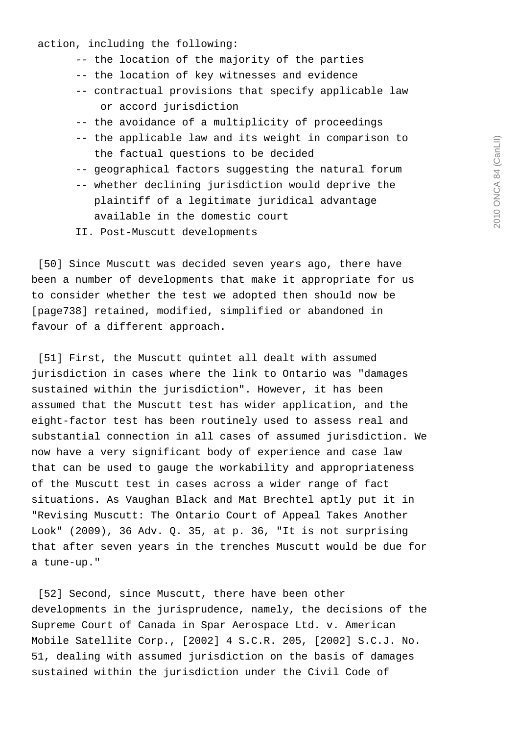## action, including the following:

- -- the location of the majority of the parties
- -- the location of key witnesses and evidence
- -- contractual provisions that specify applicable law or accord jurisdiction
- -- the avoidance of a multiplicity of proceedings
- -- the applicable law and its weight in comparison to the factual questions to be decided
- -- geographical factors suggesting the natural forum
- -- whether declining jurisdiction would deprive the plaintiff of a legitimate juridical advantage available in the domestic court
- II. Post-Muscutt developments

 [50] Since Muscutt was decided seven years ago, there have been a number of developments that make it appropriate for us to consider whether the test we adopted then should now be [page738] retained, modified, simplified or abandoned in favour of a different approach.

 [51] First, the Muscutt quintet all dealt with assumed jurisdiction in cases where the link to Ontario was "damages sustained within the jurisdiction". However, it has been assumed that the Muscutt test has wider application, and the eight-factor test has been routinely used to assess real and substantial connection in all cases of assumed jurisdiction. We now have a very significant body of experience and case law that can be used to gauge the workability and appropriateness of the Muscutt test in cases across a wider range of fact situations. As Vaughan Black and Mat Brechtel aptly put it in "Revising Muscutt: The Ontario Court of Appeal Takes Another Look"  $(2009)$ , 36 Adv. Q. 35, at p. 36, "It is not surprising that after seven years in the trenches Muscutt would be due for a tune-up."

 [52] Second, since Muscutt, there have been other developments in the jurisprudence, namely, the decisions of the Supreme Court of Canada in Spar Aerospace Ltd. v. American Mobile Satellite Corp., [2002] 4 S.C.R. 205, [2002] S.C.J. No. 51, dealing with assumed jurisdiction on the basis of damages sustained within the jurisdiction under the Civil Code of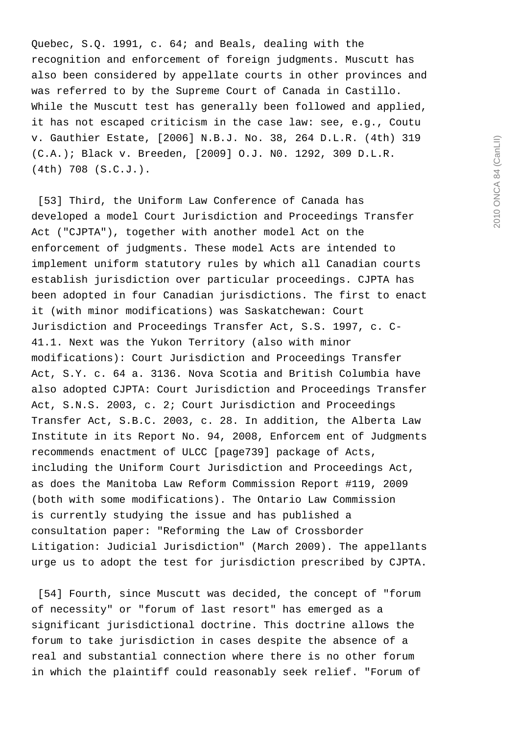Quebec, S.Q. 1991, c. 64; and Beals, dealing with the recognition and enforcement of foreign judgments. Muscutt has also been considered by appellate courts in other provinces and was referred to by the Supreme Court of Canada in Castillo. While the Muscutt test has generally been followed and applied, it has not escaped criticism in the case law: see, e.g., Coutu v. Gauthier Estate, [2006] N.B.J. No. 38, 264 D.L.R. (4th) 319 (C.A.); Black v. Breeden, [2009] O.J. N0. 1292, 309 D.L.R. (4th) 708 (S.C.J.).

 [53] Third, the Uniform Law Conference of Canada has developed a model Court Jurisdiction and Proceedings Transfer Act ("CJPTA"), together with another model Act on the enforcement of judgments. These model Acts are intended to implement uniform statutory rules by which all Canadian courts establish jurisdiction over particular proceedings. CJPTA has been adopted in four Canadian jurisdictions. The first to enact it (with minor modifications) was Saskatchewan: Court Jurisdiction and Proceedings Transfer Act, S.S. 1997, c. C-41.1. Next was the Yukon Territory (also with minor modifications): Court Jurisdiction and Proceedings Transfer Act, S.Y. c. 64 a. 3136. Nova Scotia and British Columbia have also adopted CJPTA: Court Jurisdiction and Proceedings Transfer Act, S.N.S. 2003, c. 2; Court Jurisdiction and Proceedings Transfer Act, S.B.C. 2003, c. 28. In addition, the Alberta Law Institute in its Report No. 94, 2008, Enforcem ent of Judgments recommends enactment of ULCC [page739] package of Acts, including the Uniform Court Jurisdiction and Proceedings Act, as does the Manitoba Law Reform Commission Report #119, 2009 (both with some modifications). The Ontario Law Commission is currently studying the issue and has published a consultation paper: "Reforming the Law of Crossborder Litigation: Judicial Jurisdiction" (March 2009). The appellants urge us to adopt the test for jurisdiction prescribed by CJPTA.

 [54] Fourth, since Muscutt was decided, the concept of "forum of necessity" or "forum of last resort" has emerged as a significant jurisdictional doctrine. This doctrine allows the forum to take jurisdiction in cases despite the absence of a real and substantial connection where there is no other forum in which the plaintiff could reasonably seek relief. "Forum of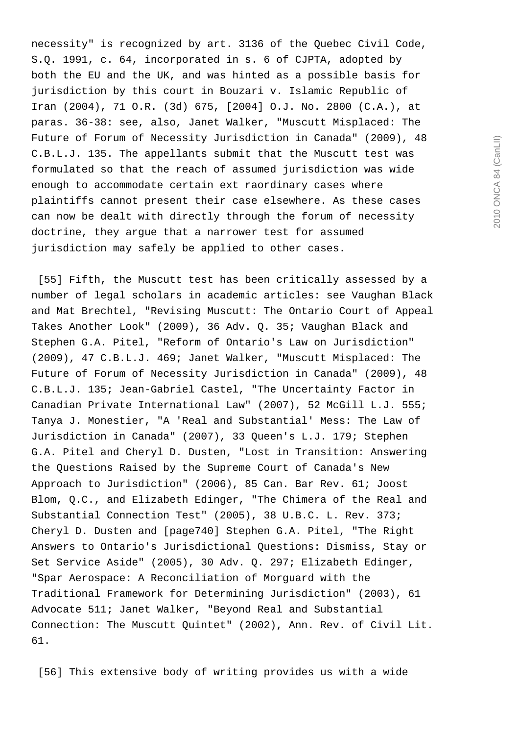necessity" is recognized by art. 3136 of the Quebec Civil Code, S.Q. 1991, c. 64, incorporated in s. 6 of CJPTA, adopted by both the EU and the UK, and was hinted as a possible basis for jurisdiction by this court in Bouzari v. Islamic Republic of Iran (2004), 71 O.R. (3d) 675, [2004] O.J. No. 2800 (C.A.), at paras. 36-38: see, also, Janet Walker, "Muscutt Misplaced: The Future of Forum of Necessity Jurisdiction in Canada" (2009), 48 C.B.L.J. 135. The appellants submit that the Muscutt test was formulated so that the reach of assumed jurisdiction was wide enough to accommodate certain ext raordinary cases where plaintiffs cannot present their case elsewhere. As these cases can now be dealt with directly through the forum of necessity doctrine, they argue that a narrower test for assumed jurisdiction may safely be applied to other cases.

 [55] Fifth, the Muscutt test has been critically assessed by a number of legal scholars in academic articles: see Vaughan Black and Mat Brechtel, "Revising Muscutt: The Ontario Court of Appeal Takes Another Look" (2009), 36 Adv. Q. 35; Vaughan Black and Stephen G.A. Pitel, "Reform of Ontario's Law on Jurisdiction" (2009), 47 C.B.L.J. 469; Janet Walker, "Muscutt Misplaced: The Future of Forum of Necessity Jurisdiction in Canada" (2009), 48 C.B.L.J. 135; Jean-Gabriel Castel, "The Uncertainty Factor in Canadian Private International Law" (2007), 52 McGill L.J. 555; Tanya J. Monestier, "A 'Real and Substantial' Mess: The Law of Jurisdiction in Canada" (2007), 33 Queen's L.J. 179; Stephen G.A. Pitel and Cheryl D. Dusten, "Lost in Transition: Answering the Questions Raised by the Supreme Court of Canada's New Approach to Jurisdiction" (2006), 85 Can. Bar Rev. 61; Joost Blom, Q.C., and Elizabeth Edinger, "The Chimera of the Real and Substantial Connection Test" (2005), 38 U.B.C. L. Rev. 373; Cheryl D. Dusten and [page740] Stephen G.A. Pitel, "The Right Answers to Ontario's Jurisdictional Questions: Dismiss, Stay or Set Service Aside" (2005), 30 Adv. Q. 297; Elizabeth Edinger, "Spar Aerospace: A Reconciliation of Morguard with the Traditional Framework for Determining Jurisdiction" (2003), 61 Advocate 511; Janet Walker, "Beyond Real and Substantial Connection: The Muscutt Quintet" (2002), Ann. Rev. of Civil Lit. 61.

[56] This extensive body of writing provides us with a wide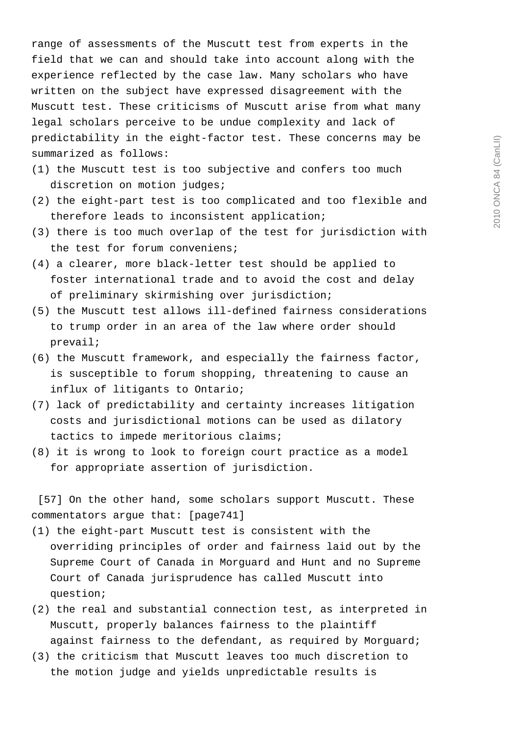range of assessments of the Muscutt test from experts in the field that we can and should take into account along with the experience reflected by the case law. Many scholars who have written on the subject have expressed disagreement with the Muscutt test. These criticisms of Muscutt arise from what many legal scholars perceive to be undue complexity and lack of predictability in the eight-factor test. These concerns may be summarized as follows:

- (1) the Muscutt test is too subjective and confers too much discretion on motion judges;
- (2) the eight-part test is too complicated and too flexible and therefore leads to inconsistent application;
- (3) there is too much overlap of the test for jurisdiction with the test for forum conveniens;
- (4) a clearer, more black-letter test should be applied to foster international trade and to avoid the cost and delay of preliminary skirmishing over jurisdiction;
- (5) the Muscutt test allows ill-defined fairness considerations to trump order in an area of the law where order should prevail;
- (6) the Muscutt framework, and especially the fairness factor, is susceptible to forum shopping, threatening to cause an influx of litigants to Ontario;
- (7) lack of predictability and certainty increases litigation costs and jurisdictional motions can be used as dilatory tactics to impede meritorious claims;
- (8) it is wrong to look to foreign court practice as a model for appropriate assertion of jurisdiction.

 [57] On the other hand, some scholars support Muscutt. These commentators argue that: [page741]

- (1) the eight-part Muscutt test is consistent with the overriding principles of order and fairness laid out by the Supreme Court of Canada in Morguard and Hunt and no Supreme Court of Canada jurisprudence has called Muscutt into question;
- (2) the real and substantial connection test, as interpreted in Muscutt, properly balances fairness to the plaintiff against fairness to the defendant, as required by Morguard;
- (3) the criticism that Muscutt leaves too much discretion to the motion judge and yields unpredictable results is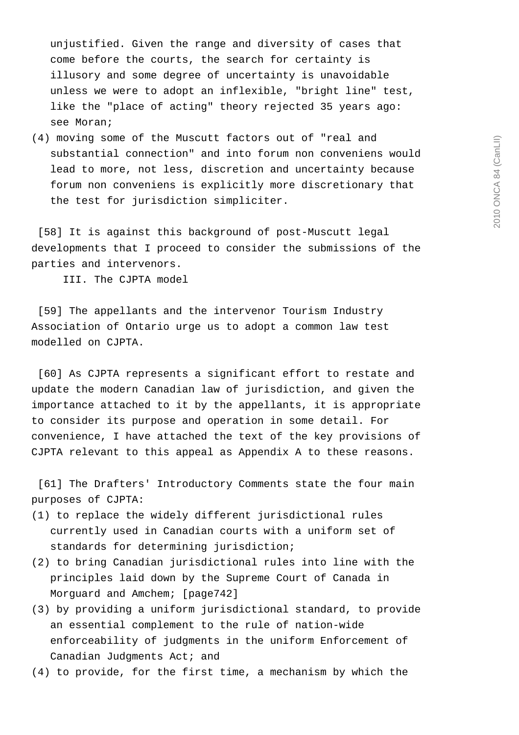unjustified. Given the range and diversity of cases that come before the courts, the search for certainty is illusory and some degree of uncertainty is unavoidable unless we were to adopt an inflexible, "bright line" test, like the "place of acting" theory rejected 35 years ago: see Moran;

(4) moving some of the Muscutt factors out of "real and substantial connection" and into forum non conveniens would lead to more, not less, discretion and uncertainty because forum non conveniens is explicitly more discretionary that the test for jurisdiction simpliciter.

 [58] It is against this background of post-Muscutt legal developments that I proceed to consider the submissions of the parties and intervenors.

III. The CJPTA model

 [59] The appellants and the intervenor Tourism Industry Association of Ontario urge us to adopt a common law test modelled on CJPTA.

 [60] As CJPTA represents a significant effort to restate and update the modern Canadian law of jurisdiction, and given the importance attached to it by the appellants, it is appropriate to consider its purpose and operation in some detail. For convenience, I have attached the text of the key provisions of CJPTA relevant to this appeal as Appendix A to these reasons.

 [61] The Drafters' Introductory Comments state the four main purposes of CJPTA:

- (1) to replace the widely different jurisdictional rules currently used in Canadian courts with a uniform set of standards for determining jurisdiction;
- (2) to bring Canadian jurisdictional rules into line with the principles laid down by the Supreme Court of Canada in Morguard and Amchem; [page742]
- (3) by providing a uniform jurisdictional standard, to provide an essential complement to the rule of nation-wide enforceability of judgments in the uniform Enforcement of Canadian Judgments Act; and
- (4) to provide, for the first time, a mechanism by which the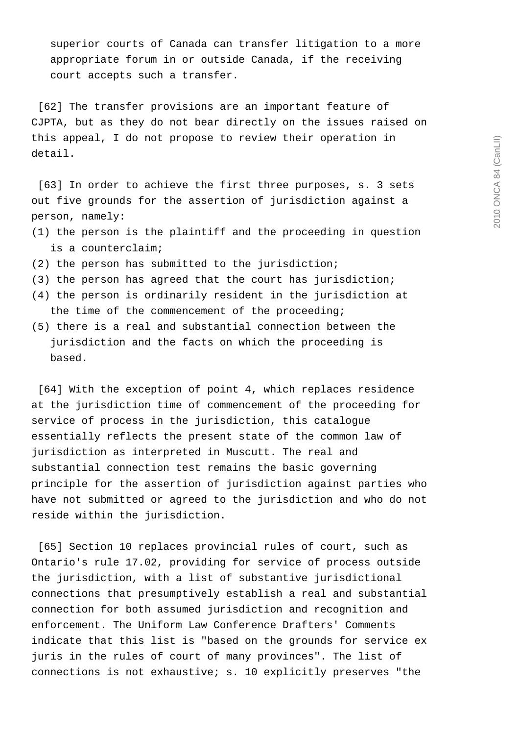superior courts of Canada can transfer litigation to a more appropriate forum in or outside Canada, if the receiving court accepts such a transfer.

 [62] The transfer provisions are an important feature of CJPTA, but as they do not bear directly on the issues raised on this appeal, I do not propose to review their operation in detail.

 [63] In order to achieve the first three purposes, s. 3 sets out five grounds for the assertion of jurisdiction against a person, namely:

- (1) the person is the plaintiff and the proceeding in question is a counterclaim;
- (2) the person has submitted to the jurisdiction;
- (3) the person has agreed that the court has jurisdiction;
- (4) the person is ordinarily resident in the jurisdiction at the time of the commencement of the proceeding;
- (5) there is a real and substantial connection between the jurisdiction and the facts on which the proceeding is based.

 [64] With the exception of point 4, which replaces residence at the jurisdiction time of commencement of the proceeding for service of process in the jurisdiction, this catalogue essentially reflects the present state of the common law of jurisdiction as interpreted in Muscutt. The real and substantial connection test remains the basic governing principle for the assertion of jurisdiction against parties who have not submitted or agreed to the jurisdiction and who do not reside within the jurisdiction.

 [65] Section 10 replaces provincial rules of court, such as Ontario's rule 17.02, providing for service of process outside the jurisdiction, with a list of substantive jurisdictional connections that presumptively establish a real and substantial connection for both assumed jurisdiction and recognition and enforcement. The Uniform Law Conference Drafters' Comments indicate that this list is "based on the grounds for service ex juris in the rules of court of many provinces". The list of connections is not exhaustive; s. 10 explicitly preserves "the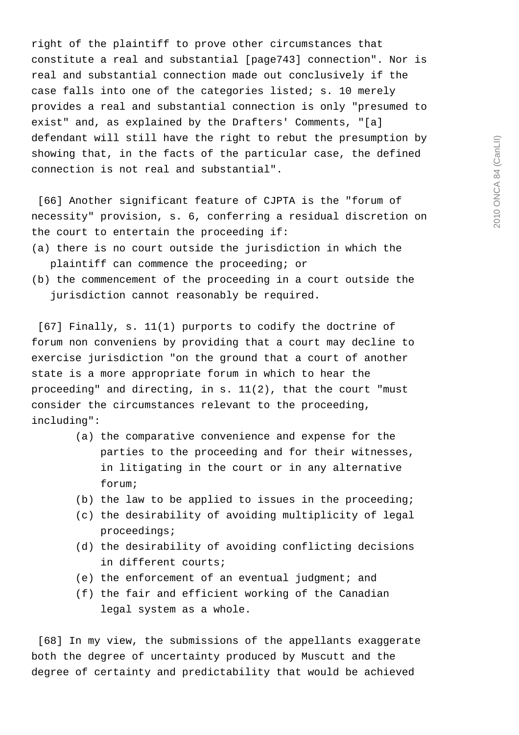right of the plaintiff to prove other circumstances that constitute a real and substantial [page743] connection". Nor is real and substantial connection made out conclusively if the case falls into one of the categories listed; s. 10 merely provides a real and substantial connection is only "presumed to exist" and, as explained by the Drafters' Comments, "[a] defendant will still have the right to rebut the presumption by showing that, in the facts of the particular case, the defined connection is not real and substantial".

 [66] Another significant feature of CJPTA is the "forum of necessity" provision, s. 6, conferring a residual discretion on the court to entertain the proceeding if:

- (a) there is no court outside the jurisdiction in which the plaintiff can commence the proceeding; or
- (b) the commencement of the proceeding in a court outside the jurisdiction cannot reasonably be required.

 [67] Finally, s. 11(1) purports to codify the doctrine of forum non conveniens by providing that a court may decline to exercise jurisdiction "on the ground that a court of another state is a more appropriate forum in which to hear the proceeding" and directing, in s. 11(2), that the court "must consider the circumstances relevant to the proceeding, including":

- (a) the comparative convenience and expense for the parties to the proceeding and for their witnesses, in litigating in the court or in any alternative forum;
- (b) the law to be applied to issues in the proceeding;
- (c) the desirability of avoiding multiplicity of legal proceedings;
- (d) the desirability of avoiding conflicting decisions in different courts;
- (e) the enforcement of an eventual judgment; and
- (f) the fair and efficient working of the Canadian legal system as a whole.

 [68] In my view, the submissions of the appellants exaggerate both the degree of uncertainty produced by Muscutt and the degree of certainty and predictability that would be achieved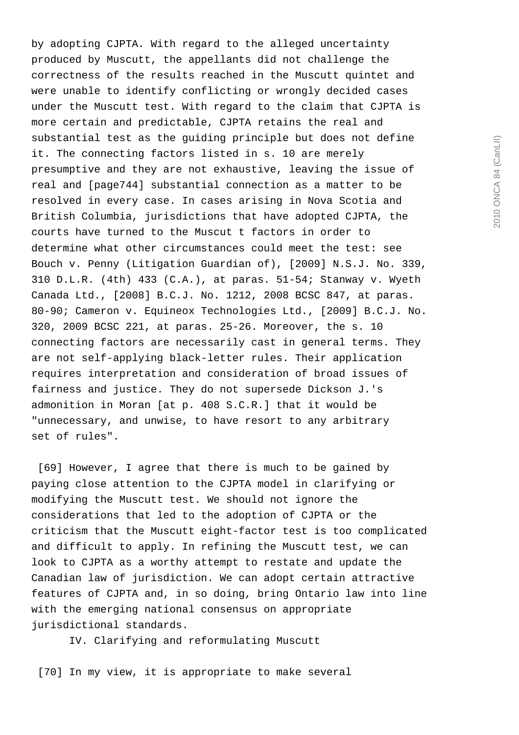by adopting CJPTA. With regard to the alleged uncertainty produced by Muscutt, the appellants did not challenge the correctness of the results reached in the Muscutt quintet and were unable to identify conflicting or wrongly decided cases under the Muscutt test. With regard to the claim that CJPTA is more certain and predictable, CJPTA retains the real and substantial test as the guiding principle but does not define it. The connecting factors listed in s. 10 are merely presumptive and they are not exhaustive, leaving the issue of real and [page744] substantial connection as a matter to be resolved in every case. In cases arising in Nova Scotia and British Columbia, jurisdictions that have adopted CJPTA, the courts have turned to the Muscut t factors in order to determine what other circumstances could meet the test: see Bouch v. Penny (Litigation Guardian of), [2009] N.S.J. No. 339, 310 D.L.R. (4th) 433 (C.A.), at paras. 51-54; Stanway v. Wyeth Canada Ltd., [2008] B.C.J. No. 1212, 2008 BCSC 847, at paras. 80-90; Cameron v. Equineox Technologies Ltd., [2009] B.C.J. No. 320, 2009 BCSC 221, at paras. 25-26. Moreover, the s. 10 connecting factors are necessarily cast in general terms. They are not self-applying black-letter rules. Their application requires interpretation and consideration of broad issues of fairness and justice. They do not supersede Dickson J.'s admonition in Moran [at p. 408 S.C.R.] that it would be "unnecessary, and unwise, to have resort to any arbitrary set of rules".

 [69] However, I agree that there is much to be gained by paying close attention to the CJPTA model in clarifying or modifying the Muscutt test. We should not ignore the considerations that led to the adoption of CJPTA or the criticism that the Muscutt eight-factor test is too complicated and difficult to apply. In refining the Muscutt test, we can look to CJPTA as a worthy attempt to restate and update the Canadian law of jurisdiction. We can adopt certain attractive features of CJPTA and, in so doing, bring Ontario law into line with the emerging national consensus on appropriate jurisdictional standards.

IV. Clarifying and reformulating Muscutt

[70] In my view, it is appropriate to make several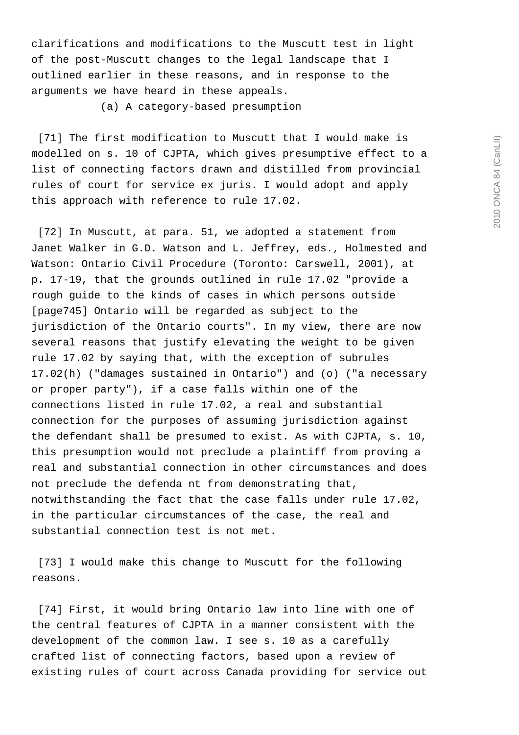clarifications and modifications to the Muscutt test in light of the post-Muscutt changes to the legal landscape that I outlined earlier in these reasons, and in response to the arguments we have heard in these appeals.

(a) A category-based presumption

 [71] The first modification to Muscutt that I would make is modelled on s. 10 of CJPTA, which gives presumptive effect to a list of connecting factors drawn and distilled from provincial rules of court for service ex juris. I would adopt and apply this approach with reference to rule 17.02.

 [72] In Muscutt, at para. 51, we adopted a statement from Janet Walker in G.D. Watson and L. Jeffrey, eds., Holmested and Watson: Ontario Civil Procedure (Toronto: Carswell, 2001), at p. 17-19, that the grounds outlined in rule 17.02 "provide a rough guide to the kinds of cases in which persons outside [page745] Ontario will be regarded as subject to the jurisdiction of the Ontario courts". In my view, there are now several reasons that justify elevating the weight to be given rule 17.02 by saying that, with the exception of subrules 17.02(h) ("damages sustained in Ontario") and (o) ("a necessary or proper party"), if a case falls within one of the connections listed in rule 17.02, a real and substantial connection for the purposes of assuming jurisdiction against the defendant shall be presumed to exist. As with CJPTA, s. 10, this presumption would not preclude a plaintiff from proving a real and substantial connection in other circumstances and does not preclude the defenda nt from demonstrating that, notwithstanding the fact that the case falls under rule 17.02, in the particular circumstances of the case, the real and substantial connection test is not met.

 [73] I would make this change to Muscutt for the following reasons.

 [74] First, it would bring Ontario law into line with one of the central features of CJPTA in a manner consistent with the development of the common law. I see s. 10 as a carefully crafted list of connecting factors, based upon a review of existing rules of court across Canada providing for service out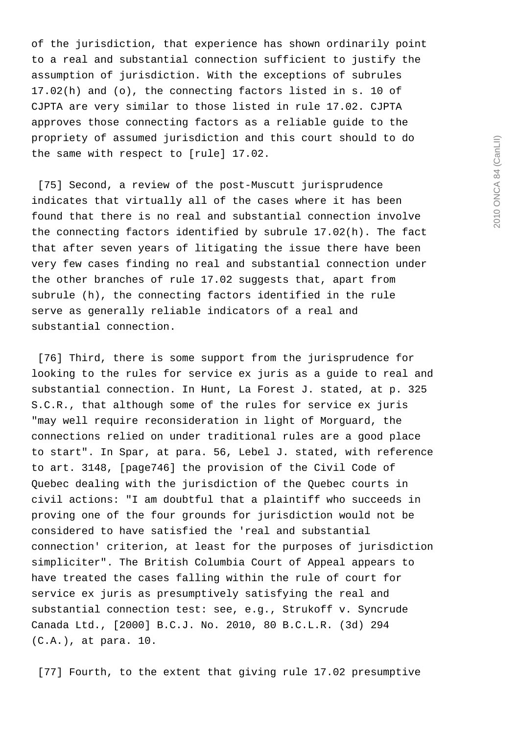of the jurisdiction, that experience has shown ordinarily point to a real and substantial connection sufficient to justify the assumption of jurisdiction. With the exceptions of subrules 17.02(h) and (o), the connecting factors listed in s. 10 of CJPTA are very similar to those listed in rule 17.02. CJPTA approves those connecting factors as a reliable guide to the propriety of assumed jurisdiction and this court should to do the same with respect to [rule] 17.02.

 [75] Second, a review of the post-Muscutt jurisprudence indicates that virtually all of the cases where it has been found that there is no real and substantial connection involve the connecting factors identified by subrule 17.02(h). The fact that after seven years of litigating the issue there have been very few cases finding no real and substantial connection under the other branches of rule 17.02 suggests that, apart from subrule (h), the connecting factors identified in the rule serve as generally reliable indicators of a real and substantial connection.

[76] Third, there is some support from the jurisprudence for looking to the rules for service ex juris as a guide to real and substantial connection. In Hunt, La Forest J. stated, at p. 325 S.C.R., that although some of the rules for service ex juris "may well require reconsideration in light of Morguard, the connections relied on under traditional rules are a good place to start". In Spar, at para. 56, Lebel J. stated, with reference to art. 3148, [page746] the provision of the Civil Code of Quebec dealing with the jurisdiction of the Quebec courts in civil actions: "I am doubtful that a plaintiff who succeeds in proving one of the four grounds for jurisdiction would not be considered to have satisfied the 'real and substantial connection' criterion, at least for the purposes of jurisdiction simpliciter". The British Columbia Court of Appeal appears to have treated the cases falling within the rule of court for service ex juris as presumptively satisfying the real and substantial connection test: see, e.g., Strukoff v. Syncrude Canada Ltd., [2000] B.C.J. No. 2010, 80 B.C.L.R. (3d) 294 (C.A.), at para. 10.

[77] Fourth, to the extent that giving rule 17.02 presumptive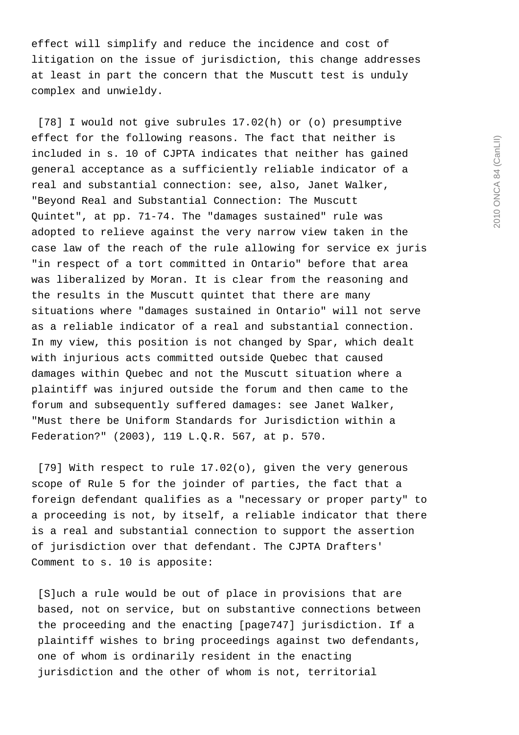effect will simplify and reduce the incidence and cost of litigation on the issue of jurisdiction, this change addresses at least in part the concern that the Muscutt test is unduly complex and unwieldy.

 [78] I would not give subrules 17.02(h) or (o) presumptive effect for the following reasons. The fact that neither is included in s. 10 of CJPTA indicates that neither has gained general acceptance as a sufficiently reliable indicator of a real and substantial connection: see, also, Janet Walker, "Beyond Real and Substantial Connection: The Muscutt Quintet", at pp. 71-74. The "damages sustained" rule was adopted to relieve against the very narrow view taken in the case law of the reach of the rule allowing for service ex juris "in respect of a tort committed in Ontario" before that area was liberalized by Moran. It is clear from the reasoning and the results in the Muscutt quintet that there are many situations where "damages sustained in Ontario" will not serve as a reliable indicator of a real and substantial connection. In my view, this position is not changed by Spar, which dealt with injurious acts committed outside Quebec that caused damages within Quebec and not the Muscutt situation where a plaintiff was injured outside the forum and then came to the forum and subsequently suffered damages: see Janet Walker, "Must there be Uniform Standards for Jurisdiction within a Federation?" (2003), 119 L.Q.R. 567, at p. 570.

 [79] With respect to rule 17.02(o), given the very generous scope of Rule 5 for the joinder of parties, the fact that a foreign defendant qualifies as a "necessary or proper party" to a proceeding is not, by itself, a reliable indicator that there is a real and substantial connection to support the assertion of jurisdiction over that defendant. The CJPTA Drafters' Comment to s. 10 is apposite:

 [S]uch a rule would be out of place in provisions that are based, not on service, but on substantive connections between the proceeding and the enacting [page747] jurisdiction. If a plaintiff wishes to bring proceedings against two defendants, one of whom is ordinarily resident in the enacting jurisdiction and the other of whom is not, territorial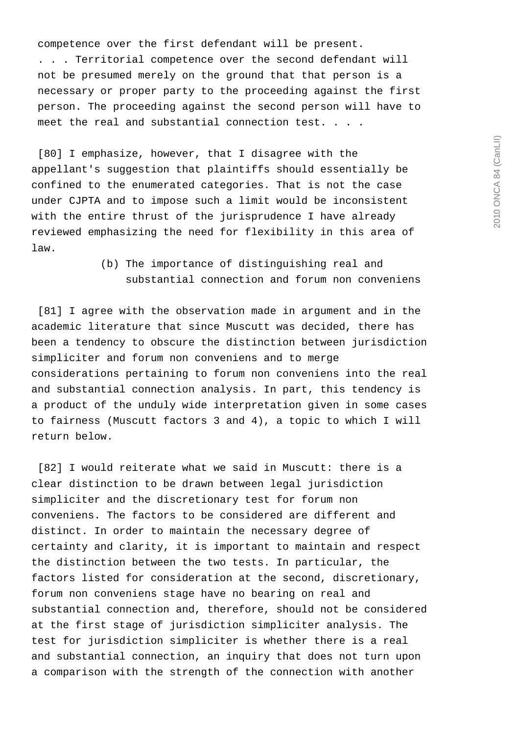2010 ONCA 84 (CanLII) 2010 ONCA 84 (CanLII)

 competence over the first defendant will be present. . . . Territorial competence over the second defendant will not be presumed merely on the ground that that person is a necessary or proper party to the proceeding against the first person. The proceeding against the second person will have to meet the real and substantial connection test. . . .

 [80] I emphasize, however, that I disagree with the appellant's suggestion that plaintiffs should essentially be confined to the enumerated categories. That is not the case under CJPTA and to impose such a limit would be inconsistent with the entire thrust of the jurisprudence I have already reviewed emphasizing the need for flexibility in this area of law.

> (b) The importance of distinguishing real and substantial connection and forum non conveniens

 [81] I agree with the observation made in argument and in the academic literature that since Muscutt was decided, there has been a tendency to obscure the distinction between jurisdiction simpliciter and forum non conveniens and to merge considerations pertaining to forum non conveniens into the real and substantial connection analysis. In part, this tendency is a product of the unduly wide interpretation given in some cases to fairness (Muscutt factors 3 and 4), a topic to which I will return below.

 [82] I would reiterate what we said in Muscutt: there is a clear distinction to be drawn between legal jurisdiction simpliciter and the discretionary test for forum non conveniens. The factors to be considered are different and distinct. In order to maintain the necessary degree of certainty and clarity, it is important to maintain and respect the distinction between the two tests. In particular, the factors listed for consideration at the second, discretionary, forum non conveniens stage have no bearing on real and substantial connection and, therefore, should not be considered at the first stage of jurisdiction simpliciter analysis. The test for jurisdiction simpliciter is whether there is a real and substantial connection, an inquiry that does not turn upon a comparison with the strength of the connection with another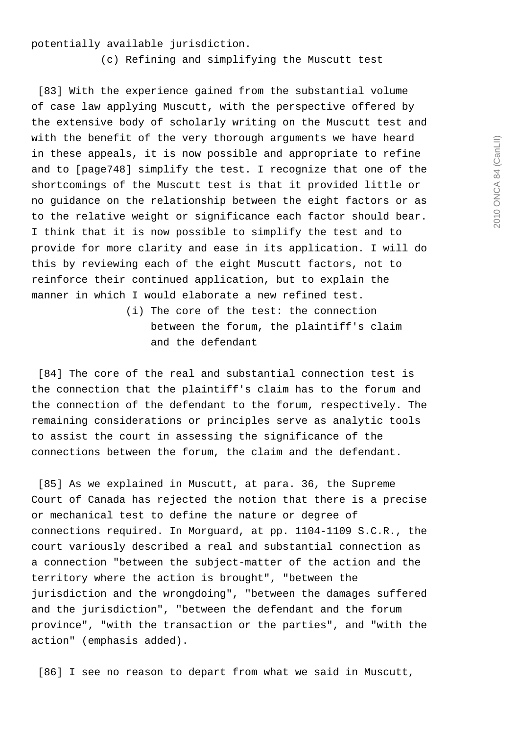potentially available jurisdiction.

(c) Refining and simplifying the Muscutt test

 [83] With the experience gained from the substantial volume of case law applying Muscutt, with the perspective offered by the extensive body of scholarly writing on the Muscutt test and with the benefit of the very thorough arguments we have heard in these appeals, it is now possible and appropriate to refine and to [page748] simplify the test. I recognize that one of the shortcomings of the Muscutt test is that it provided little or no guidance on the relationship between the eight factors or as to the relative weight or significance each factor should bear. I think that it is now possible to simplify the test and to provide for more clarity and ease in its application. I will do this by reviewing each of the eight Muscutt factors, not to reinforce their continued application, but to explain the manner in which I would elaborate a new refined test.

> (i) The core of the test: the connection between the forum, the plaintiff's claim and the defendant

 [84] The core of the real and substantial connection test is the connection that the plaintiff's claim has to the forum and the connection of the defendant to the forum, respectively. The remaining considerations or principles serve as analytic tools to assist the court in assessing the significance of the connections between the forum, the claim and the defendant.

 [85] As we explained in Muscutt, at para. 36, the Supreme Court of Canada has rejected the notion that there is a precise or mechanical test to define the nature or degree of connections required. In Morguard, at pp. 1104-1109 S.C.R., the court variously described a real and substantial connection as a connection "between the subject-matter of the action and the territory where the action is brought", "between the jurisdiction and the wrongdoing", "between the damages suffered and the jurisdiction", "between the defendant and the forum province", "with the transaction or the parties", and "with the action" (emphasis added).

[86] I see no reason to depart from what we said in Muscutt,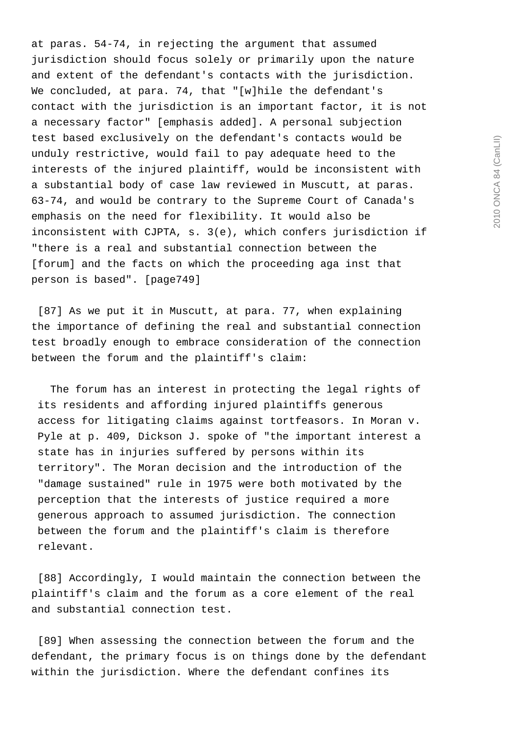at paras. 54-74, in rejecting the argument that assumed jurisdiction should focus solely or primarily upon the nature and extent of the defendant's contacts with the jurisdiction. We concluded, at para. 74, that "[w]hile the defendant's contact with the jurisdiction is an important factor, it is not a necessary factor" [emphasis added]. A personal subjection test based exclusively on the defendant's contacts would be unduly restrictive, would fail to pay adequate heed to the interests of the injured plaintiff, would be inconsistent with a substantial body of case law reviewed in Muscutt, at paras. 63-74, and would be contrary to the Supreme Court of Canada's emphasis on the need for flexibility. It would also be inconsistent with CJPTA, s. 3(e), which confers jurisdiction if "there is a real and substantial connection between the [forum] and the facts on which the proceeding aga inst that person is based". [page749]

 [87] As we put it in Muscutt, at para. 77, when explaining the importance of defining the real and substantial connection test broadly enough to embrace consideration of the connection between the forum and the plaintiff's claim:

 The forum has an interest in protecting the legal rights of its residents and affording injured plaintiffs generous access for litigating claims against tortfeasors. In Moran v. Pyle at p. 409, Dickson J. spoke of "the important interest a state has in injuries suffered by persons within its territory". The Moran decision and the introduction of the "damage sustained" rule in 1975 were both motivated by the perception that the interests of justice required a more generous approach to assumed jurisdiction. The connection between the forum and the plaintiff's claim is therefore relevant.

 [88] Accordingly, I would maintain the connection between the plaintiff's claim and the forum as a core element of the real and substantial connection test.

 [89] When assessing the connection between the forum and the defendant, the primary focus is on things done by the defendant within the jurisdiction. Where the defendant confines its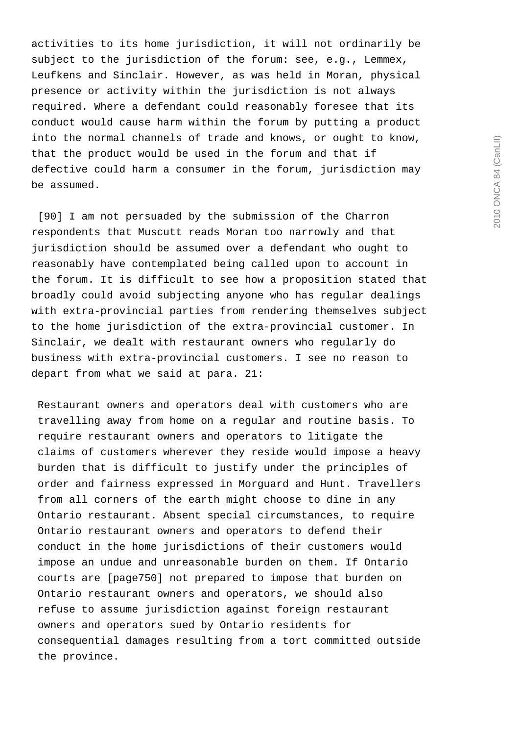activities to its home jurisdiction, it will not ordinarily be subject to the jurisdiction of the forum: see, e.g., Lemmex, Leufkens and Sinclair. However, as was held in Moran, physical presence or activity within the jurisdiction is not always required. Where a defendant could reasonably foresee that its conduct would cause harm within the forum by putting a product into the normal channels of trade and knows, or ought to know, that the product would be used in the forum and that if defective could harm a consumer in the forum, jurisdiction may be assumed.

 [90] I am not persuaded by the submission of the Charron respondents that Muscutt reads Moran too narrowly and that jurisdiction should be assumed over a defendant who ought to reasonably have contemplated being called upon to account in the forum. It is difficult to see how a proposition stated that broadly could avoid subjecting anyone who has regular dealings with extra-provincial parties from rendering themselves subject to the home jurisdiction of the extra-provincial customer. In Sinclair, we dealt with restaurant owners who regularly do business with extra-provincial customers. I see no reason to depart from what we said at para. 21:

 Restaurant owners and operators deal with customers who are travelling away from home on a regular and routine basis. To require restaurant owners and operators to litigate the claims of customers wherever they reside would impose a heavy burden that is difficult to justify under the principles of order and fairness expressed in Morguard and Hunt. Travellers from all corners of the earth might choose to dine in any Ontario restaurant. Absent special circumstances, to require Ontario restaurant owners and operators to defend their conduct in the home jurisdictions of their customers would impose an undue and unreasonable burden on them. If Ontario courts are [page750] not prepared to impose that burden on Ontario restaurant owners and operators, we should also refuse to assume jurisdiction against foreign restaurant owners and operators sued by Ontario residents for consequential damages resulting from a tort committed outside the province.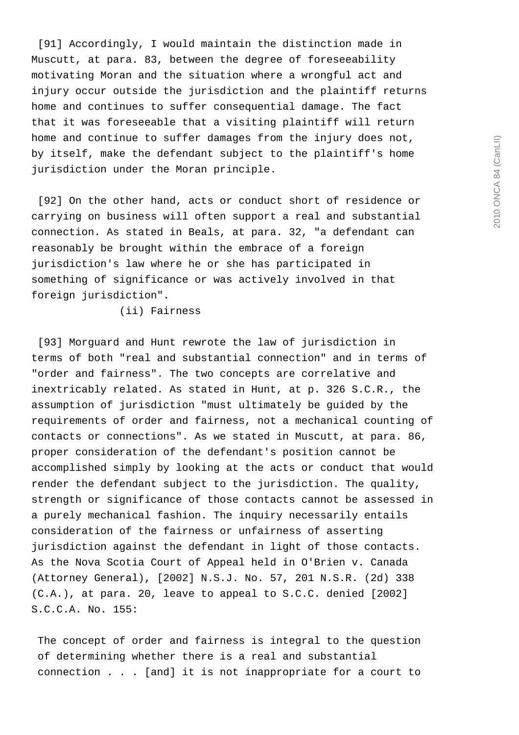[91] Accordingly, I would maintain the distinction made in Muscutt, at para. 83, between the degree of foreseeability motivating Moran and the situation where a wrongful act and injury occur outside the jurisdiction and the plaintiff returns home and continues to suffer consequential damage. The fact that it was foreseeable that a visiting plaintiff will return home and continue to suffer damages from the injury does not, by itself, make the defendant subject to the plaintiff's home jurisdiction under the Moran principle.

 [92] On the other hand, acts or conduct short of residence or carrying on business will often support a real and substantial connection. As stated in Beals, at para. 32, "a defendant can reasonably be brought within the embrace of a foreign jurisdiction's law where he or she has participated in something of significance or was actively involved in that foreign jurisdiction".

(ii) Fairness

 [93] Morguard and Hunt rewrote the law of jurisdiction in terms of both "real and substantial connection" and in terms of "order and fairness". The two concepts are correlative and inextricably related. As stated in Hunt, at p. 326 S.C.R., the assumption of jurisdiction "must ultimately be guided by the requirements of order and fairness, not a mechanical counting of contacts or connections". As we stated in Muscutt, at para. 86, proper consideration of the defendant's position cannot be accomplished simply by looking at the acts or conduct that would render the defendant subject to the jurisdiction. The quality, strength or significance of those contacts cannot be assessed in a purely mechanical fashion. The inquiry necessarily entails consideration of the fairness or unfairness of asserting jurisdiction against the defendant in light of those contacts. As the Nova Scotia Court of Appeal held in O'Brien v. Canada (Attorney General), [2002] N.S.J. No. 57, 201 N.S.R. (2d) 338 (C.A.), at para. 20, leave to appeal to S.C.C. denied [2002] S.C.C.A. No. 155:

 The concept of order and fairness is integral to the question of determining whether there is a real and substantial connection . . . [and] it is not inappropriate for a court to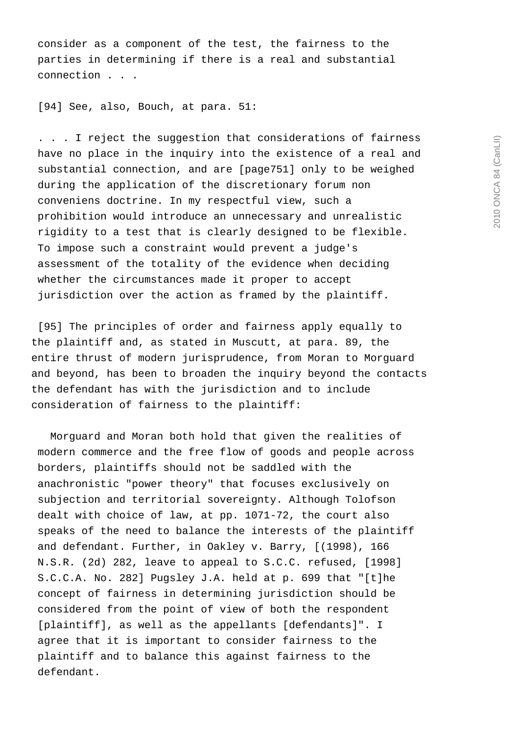consider as a component of the test, the fairness to the parties in determining if there is a real and substantial connection . . .

[94] See, also, Bouch, at para. 51:

 . . . I reject the suggestion that considerations of fairness have no place in the inquiry into the existence of a real and substantial connection, and are [page751] only to be weighed during the application of the discretionary forum non conveniens doctrine. In my respectful view, such a prohibition would introduce an unnecessary and unrealistic rigidity to a test that is clearly designed to be flexible. To impose such a constraint would prevent a judge's assessment of the totality of the evidence when deciding whether the circumstances made it proper to accept jurisdiction over the action as framed by the plaintiff.

 [95] The principles of order and fairness apply equally to the plaintiff and, as stated in Muscutt, at para. 89, the entire thrust of modern jurisprudence, from Moran to Morguard and beyond, has been to broaden the inquiry beyond the contacts the defendant has with the jurisdiction and to include consideration of fairness to the plaintiff:

 Morguard and Moran both hold that given the realities of modern commerce and the free flow of goods and people across borders, plaintiffs should not be saddled with the anachronistic "power theory" that focuses exclusively on subjection and territorial sovereignty. Although Tolofson dealt with choice of law, at pp. 1071-72, the court also speaks of the need to balance the interests of the plaintiff and defendant. Further, in Oakley v. Barry, [(1998), 166 N.S.R. (2d) 282, leave to appeal to S.C.C. refused, [1998] S.C.C.A. No. 282] Pugsley J.A. held at p. 699 that "[t]he concept of fairness in determining jurisdiction should be considered from the point of view of both the respondent [plaintiff], as well as the appellants [defendants]". I agree that it is important to consider fairness to the plaintiff and to balance this against fairness to the defendant.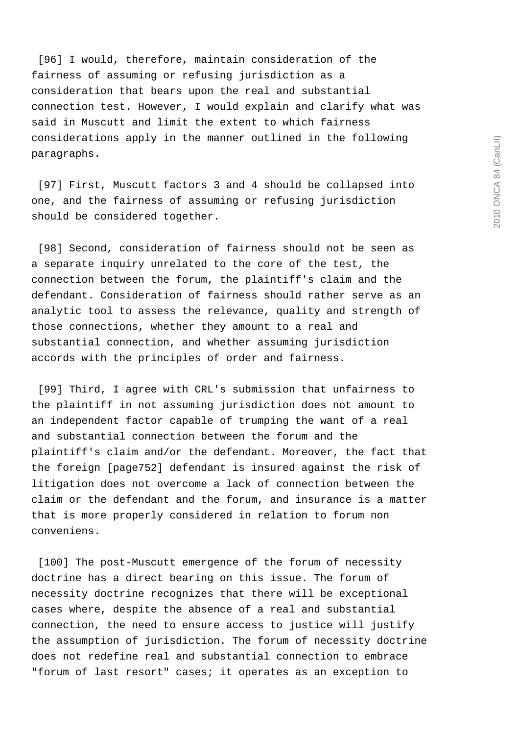[96] I would, therefore, maintain consideration of the fairness of assuming or refusing jurisdiction as a consideration that bears upon the real and substantial connection test. However, I would explain and clarify what was said in Muscutt and limit the extent to which fairness considerations apply in the manner outlined in the following paragraphs.

 [97] First, Muscutt factors 3 and 4 should be collapsed into one, and the fairness of assuming or refusing jurisdiction should be considered together.

 [98] Second, consideration of fairness should not be seen as a separate inquiry unrelated to the core of the test, the connection between the forum, the plaintiff's claim and the defendant. Consideration of fairness should rather serve as an analytic tool to assess the relevance, quality and strength of those connections, whether they amount to a real and substantial connection, and whether assuming jurisdiction accords with the principles of order and fairness.

 [99] Third, I agree with CRL's submission that unfairness to the plaintiff in not assuming jurisdiction does not amount to an independent factor capable of trumping the want of a real and substantial connection between the forum and the plaintiff's claim and/or the defendant. Moreover, the fact that the foreign [page752] defendant is insured against the risk of litigation does not overcome a lack of connection between the claim or the defendant and the forum, and insurance is a matter that is more properly considered in relation to forum non conveniens.

[100] The post-Muscutt emergence of the forum of necessity doctrine has a direct bearing on this issue. The forum of necessity doctrine recognizes that there will be exceptional cases where, despite the absence of a real and substantial connection, the need to ensure access to justice will justify the assumption of jurisdiction. The forum of necessity doctrine does not redefine real and substantial connection to embrace "forum of last resort" cases; it operates as an exception to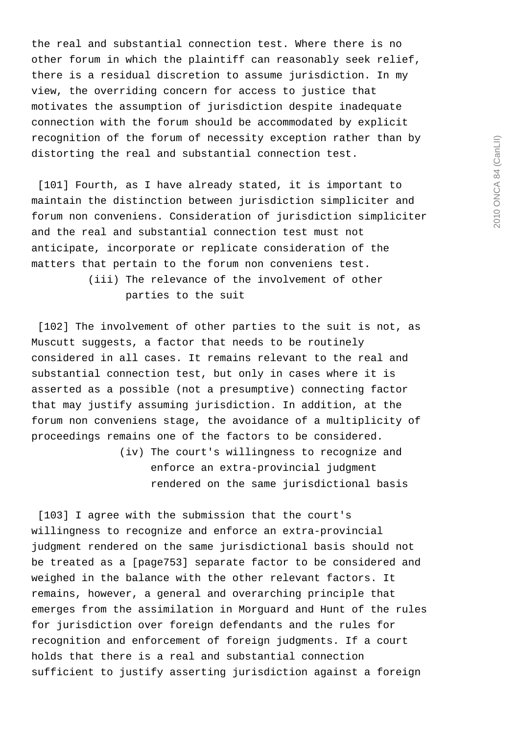the real and substantial connection test. Where there is no other forum in which the plaintiff can reasonably seek relief, there is a residual discretion to assume jurisdiction. In my view, the overriding concern for access to justice that motivates the assumption of jurisdiction despite inadequate connection with the forum should be accommodated by explicit recognition of the forum of necessity exception rather than by distorting the real and substantial connection test.

[101] Fourth, as I have already stated, it is important to maintain the distinction between jurisdiction simpliciter and forum non conveniens. Consideration of jurisdiction simpliciter and the real and substantial connection test must not anticipate, incorporate or replicate consideration of the matters that pertain to the forum non conveniens test. (iii) The relevance of the involvement of other parties to the suit

 [102] The involvement of other parties to the suit is not, as Muscutt suggests, a factor that needs to be routinely considered in all cases. It remains relevant to the real and substantial connection test, but only in cases where it is asserted as a possible (not a presumptive) connecting factor that may justify assuming jurisdiction. In addition, at the forum non conveniens stage, the avoidance of a multiplicity of proceedings remains one of the factors to be considered.

> (iv) The court's willingness to recognize and enforce an extra-provincial judgment rendered on the same jurisdictional basis

 [103] I agree with the submission that the court's willingness to recognize and enforce an extra-provincial judgment rendered on the same jurisdictional basis should not be treated as a [page753] separate factor to be considered and weighed in the balance with the other relevant factors. It remains, however, a general and overarching principle that emerges from the assimilation in Morguard and Hunt of the rules for jurisdiction over foreign defendants and the rules for recognition and enforcement of foreign judgments. If a court holds that there is a real and substantial connection sufficient to justify asserting jurisdiction against a foreign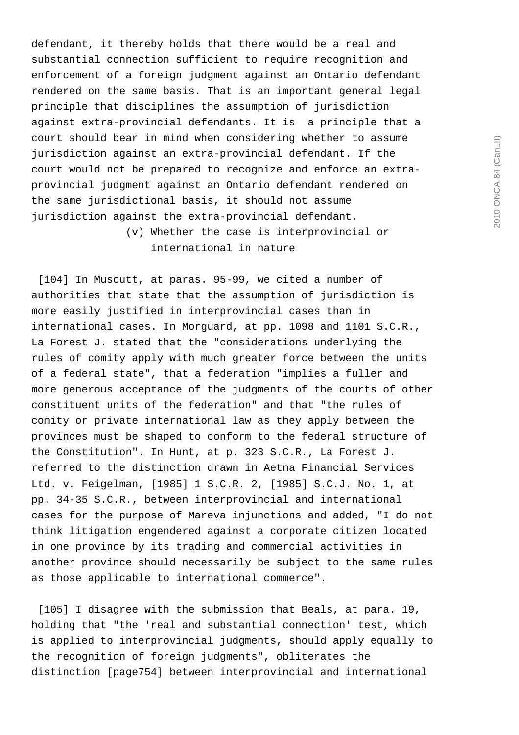defendant, it thereby holds that there would be a real and substantial connection sufficient to require recognition and enforcement of a foreign judgment against an Ontario defendant rendered on the same basis. That is an important general legal principle that disciplines the assumption of jurisdiction against extra-provincial defendants. It is a principle that a court should bear in mind when considering whether to assume jurisdiction against an extra-provincial defendant. If the court would not be prepared to recognize and enforce an extraprovincial judgment against an Ontario defendant rendered on the same jurisdictional basis, it should not assume jurisdiction against the extra-provincial defendant.

> (v) Whether the case is interprovincial or international in nature

 [104] In Muscutt, at paras. 95-99, we cited a number of authorities that state that the assumption of jurisdiction is more easily justified in interprovincial cases than in international cases. In Morguard, at pp. 1098 and 1101 S.C.R., La Forest J. stated that the "considerations underlying the rules of comity apply with much greater force between the units of a federal state", that a federation "implies a fuller and more generous acceptance of the judgments of the courts of other constituent units of the federation" and that "the rules of comity or private international law as they apply between the provinces must be shaped to conform to the federal structure of the Constitution". In Hunt, at p. 323 S.C.R., La Forest J. referred to the distinction drawn in Aetna Financial Services Ltd. v. Feigelman, [1985] 1 S.C.R. 2, [1985] S.C.J. No. 1, at pp. 34-35 S.C.R., between interprovincial and international cases for the purpose of Mareva injunctions and added, "I do not think litigation engendered against a corporate citizen located in one province by its trading and commercial activities in another province should necessarily be subject to the same rules as those applicable to international commerce".

 [105] I disagree with the submission that Beals, at para. 19, holding that "the 'real and substantial connection' test, which is applied to interprovincial judgments, should apply equally to the recognition of foreign judgments", obliterates the distinction [page754] between interprovincial and international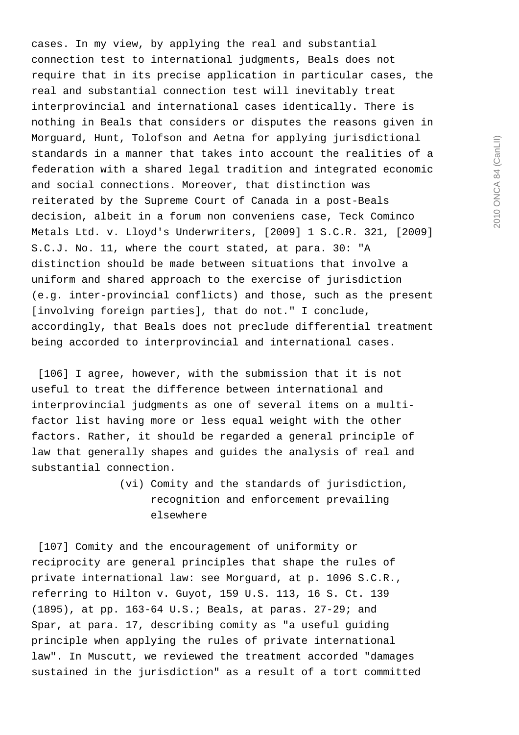cases. In my view, by applying the real and substantial connection test to international judgments, Beals does not require that in its precise application in particular cases, the real and substantial connection test will inevitably treat interprovincial and international cases identically. There is nothing in Beals that considers or disputes the reasons given in Morguard, Hunt, Tolofson and Aetna for applying jurisdictional standards in a manner that takes into account the realities of a federation with a shared legal tradition and integrated economic and social connections. Moreover, that distinction was reiterated by the Supreme Court of Canada in a post-Beals decision, albeit in a forum non conveniens case, Teck Cominco Metals Ltd. v. Lloyd's Underwriters, [2009] 1 S.C.R. 321, [2009] S.C.J. No. 11, where the court stated, at para. 30: "A distinction should be made between situations that involve a uniform and shared approach to the exercise of jurisdiction (e.g. inter-provincial conflicts) and those, such as the present [involving foreign parties], that do not." I conclude, accordingly, that Beals does not preclude differential treatment being accorded to interprovincial and international cases.

 [106] I agree, however, with the submission that it is not useful to treat the difference between international and interprovincial judgments as one of several items on a multifactor list having more or less equal weight with the other factors. Rather, it should be regarded a general principle of law that generally shapes and guides the analysis of real and substantial connection.

> (vi) Comity and the standards of jurisdiction, recognition and enforcement prevailing elsewhere

[107] Comity and the encouragement of uniformity or reciprocity are general principles that shape the rules of private international law: see Morguard, at p. 1096 S.C.R., referring to Hilton v. Guyot, 159 U.S. 113, 16 S. Ct. 139 (1895), at pp. 163-64 U.S.; Beals, at paras. 27-29; and Spar, at para. 17, describing comity as "a useful guiding principle when applying the rules of private international law". In Muscutt, we reviewed the treatment accorded "damages sustained in the jurisdiction" as a result of a tort committed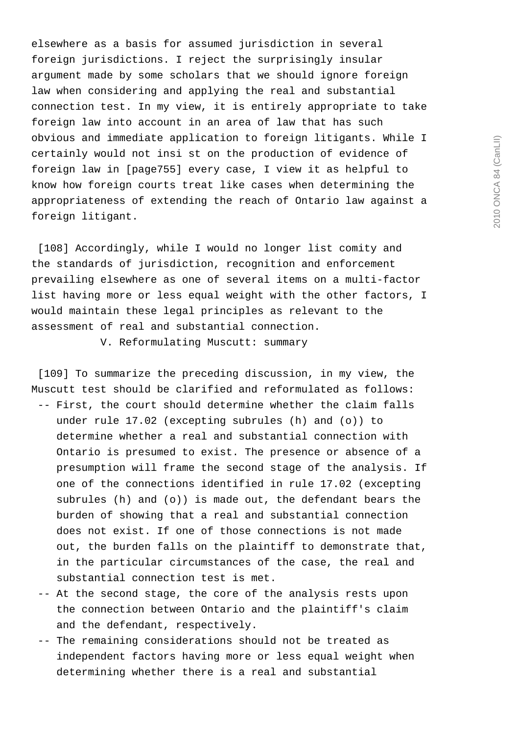elsewhere as a basis for assumed jurisdiction in several foreign jurisdictions. I reject the surprisingly insular argument made by some scholars that we should ignore foreign law when considering and applying the real and substantial connection test. In my view, it is entirely appropriate to take foreign law into account in an area of law that has such obvious and immediate application to foreign litigants. While I certainly would not insi st on the production of evidence of foreign law in [page755] every case, I view it as helpful to know how foreign courts treat like cases when determining the appropriateness of extending the reach of Ontario law against a foreign litigant.

 [108] Accordingly, while I would no longer list comity and the standards of jurisdiction, recognition and enforcement prevailing elsewhere as one of several items on a multi-factor list having more or less equal weight with the other factors, I would maintain these legal principles as relevant to the assessment of real and substantial connection.

V. Reformulating Muscutt: summary

 [109] To summarize the preceding discussion, in my view, the Muscutt test should be clarified and reformulated as follows: -- First, the court should determine whether the claim falls under rule 17.02 (excepting subrules (h) and (o)) to determine whether a real and substantial connection with Ontario is presumed to exist. The presence or absence of a presumption will frame the second stage of the analysis. If one of the connections identified in rule 17.02 (excepting subrules (h) and (o)) is made out, the defendant bears the burden of showing that a real and substantial connection does not exist. If one of those connections is not made out, the burden falls on the plaintiff to demonstrate that, in the particular circumstances of the case, the real and substantial connection test is met.

- -- At the second stage, the core of the analysis rests upon the connection between Ontario and the plaintiff's claim and the defendant, respectively.
- -- The remaining considerations should not be treated as independent factors having more or less equal weight when determining whether there is a real and substantial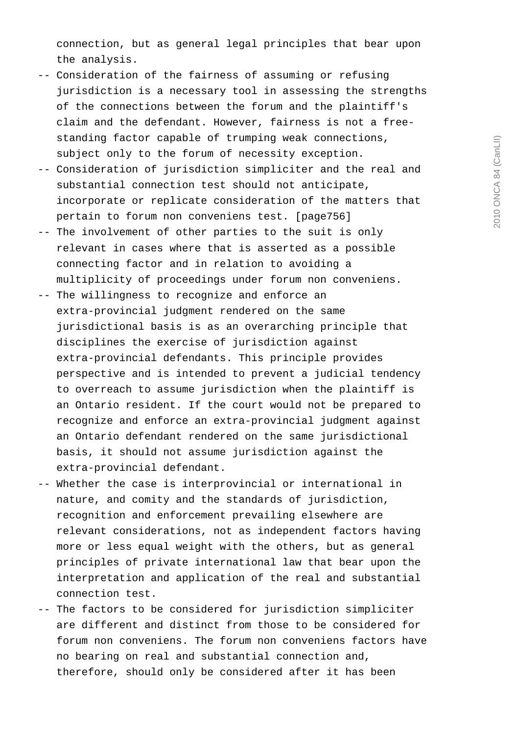connection, but as general legal principles that bear upon the analysis.

- -- Consideration of the fairness of assuming or refusing jurisdiction is a necessary tool in assessing the strengths of the connections between the forum and the plaintiff's claim and the defendant. However, fairness is not a free standing factor capable of trumping weak connections, subject only to the forum of necessity exception.
- -- Consideration of jurisdiction simpliciter and the real and substantial connection test should not anticipate, incorporate or replicate consideration of the matters that pertain to forum non conveniens test. [page756]
- -- The involvement of other parties to the suit is only relevant in cases where that is asserted as a possible connecting factor and in relation to avoiding a multiplicity of proceedings under forum non conveniens.
- -- The willingness to recognize and enforce an extra-provincial judgment rendered on the same jurisdictional basis is as an overarching principle that disciplines the exercise of jurisdiction against extra-provincial defendants. This principle provides perspective and is intended to prevent a judicial tendency to overreach to assume jurisdiction when the plaintiff is an Ontario resident. If the court would not be prepared to recognize and enforce an extra-provincial judgment against an Ontario defendant rendered on the same jurisdictional basis, it should not assume jurisdiction against the extra-provincial defendant.
- -- Whether the case is interprovincial or international in nature, and comity and the standards of jurisdiction, recognition and enforcement prevailing elsewhere are relevant considerations, not as independent factors having more or less equal weight with the others, but as general principles of private international law that bear upon the interpretation and application of the real and substantial connection test.
- -- The factors to be considered for jurisdiction simpliciter are different and distinct from those to be considered for forum non conveniens. The forum non conveniens factors have no bearing on real and substantial connection and, therefore, should only be considered after it has been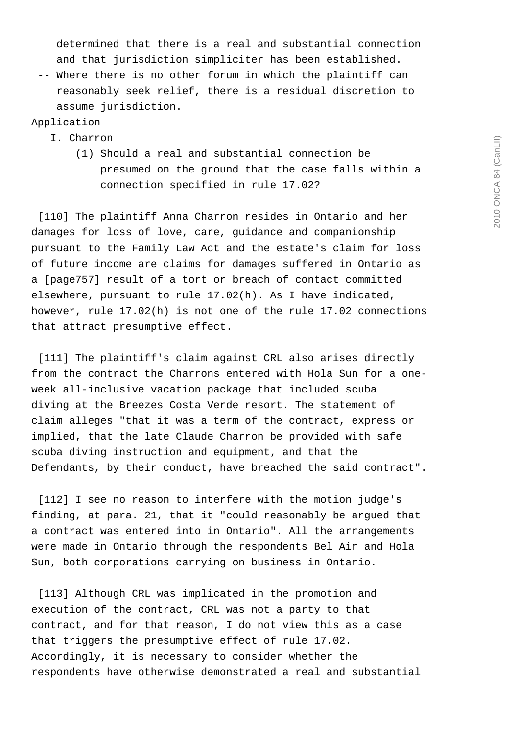determined that there is a real and substantial connection and that jurisdiction simpliciter has been established.

 -- Where there is no other forum in which the plaintiff can reasonably seek relief, there is a residual discretion to assume jurisdiction.

Application

# I. Charron

 (1) Should a real and substantial connection be presumed on the ground that the case falls within a connection specified in rule 17.02?

 [110] The plaintiff Anna Charron resides in Ontario and her damages for loss of love, care, guidance and companionship pursuant to the Family Law Act and the estate's claim for loss of future income are claims for damages suffered in Ontario as a [page757] result of a tort or breach of contact committed elsewhere, pursuant to rule 17.02(h). As I have indicated, however, rule 17.02(h) is not one of the rule 17.02 connections that attract presumptive effect.

 [111] The plaintiff's claim against CRL also arises directly from the contract the Charrons entered with Hola Sun for a oneweek all-inclusive vacation package that included scuba diving at the Breezes Costa Verde resort. The statement of claim alleges "that it was a term of the contract, express or implied, that the late Claude Charron be provided with safe scuba diving instruction and equipment, and that the Defendants, by their conduct, have breached the said contract".

 [112] I see no reason to interfere with the motion judge's finding, at para. 21, that it "could reasonably be argued that a contract was entered into in Ontario". All the arrangements were made in Ontario through the respondents Bel Air and Hola Sun, both corporations carrying on business in Ontario.

 [113] Although CRL was implicated in the promotion and execution of the contract, CRL was not a party to that contract, and for that reason, I do not view this as a case that triggers the presumptive effect of rule 17.02. Accordingly, it is necessary to consider whether the respondents have otherwise demonstrated a real and substantial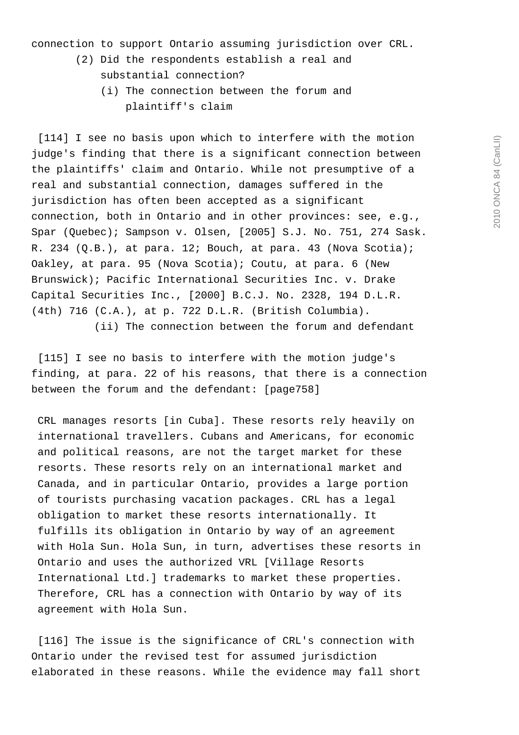connection to support Ontario assuming jurisdiction over CRL.

- (2) Did the respondents establish a real and substantial connection?
	- (i) The connection between the forum and plaintiff's claim

 [114] I see no basis upon which to interfere with the motion judge's finding that there is a significant connection between the plaintiffs' claim and Ontario. While not presumptive of a real and substantial connection, damages suffered in the jurisdiction has often been accepted as a significant connection, both in Ontario and in other provinces: see, e.g., Spar (Quebec); Sampson v. Olsen, [2005] S.J. No. 751, 274 Sask. R. 234 (Q.B.), at para. 12; Bouch, at para. 43 (Nova Scotia); Oakley, at para. 95 (Nova Scotia); Coutu, at para. 6 (New Brunswick); Pacific International Securities Inc. v. Drake Capital Securities Inc., [2000] B.C.J. No. 2328, 194 D.L.R. (4th) 716 (C.A.), at p. 722 D.L.R. (British Columbia). (ii) The connection between the forum and defendant

 [115] I see no basis to interfere with the motion judge's finding, at para. 22 of his reasons, that there is a connection between the forum and the defendant: [page758]

 CRL manages resorts [in Cuba]. These resorts rely heavily on international travellers. Cubans and Americans, for economic and political reasons, are not the target market for these resorts. These resorts rely on an international market and Canada, and in particular Ontario, provides a large portion of tourists purchasing vacation packages. CRL has a legal obligation to market these resorts internationally. It fulfills its obligation in Ontario by way of an agreement with Hola Sun. Hola Sun, in turn, advertises these resorts in Ontario and uses the authorized VRL [Village Resorts International Ltd.] trademarks to market these properties. Therefore, CRL has a connection with Ontario by way of its agreement with Hola Sun.

 [116] The issue is the significance of CRL's connection with Ontario under the revised test for assumed jurisdiction elaborated in these reasons. While the evidence may fall short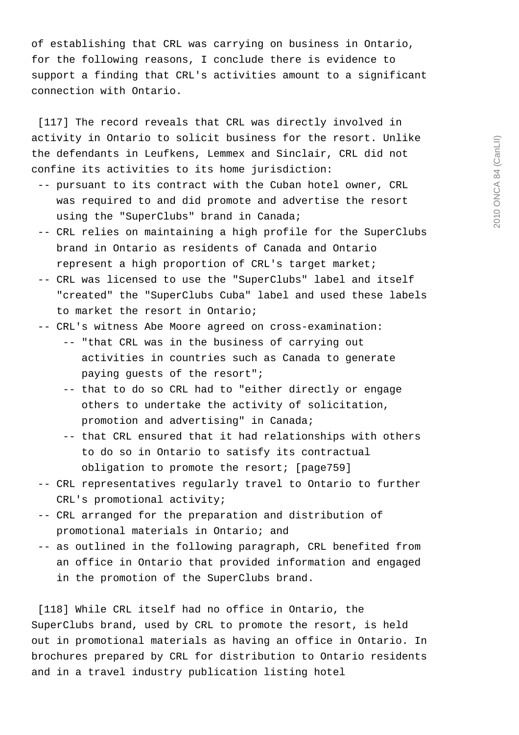of establishing that CRL was carrying on business in Ontario, for the following reasons, I conclude there is evidence to support a finding that CRL's activities amount to a significant connection with Ontario.

[117] The record reveals that CRL was directly involved in activity in Ontario to solicit business for the resort. Unlike the defendants in Leufkens, Lemmex and Sinclair, CRL did not confine its activities to its home jurisdiction:

- -- pursuant to its contract with the Cuban hotel owner, CRL was required to and did promote and advertise the resort using the "SuperClubs" brand in Canada;
- -- CRL relies on maintaining a high profile for the SuperClubs brand in Ontario as residents of Canada and Ontario represent a high proportion of CRL's target market;
- -- CRL was licensed to use the "SuperClubs" label and itself "created" the "SuperClubs Cuba" label and used these labels to market the resort in Ontario;
- -- CRL's witness Abe Moore agreed on cross-examination:
	- -- "that CRL was in the business of carrying out activities in countries such as Canada to generate paying guests of the resort";
	- -- that to do so CRL had to "either directly or engage others to undertake the activity of solicitation, promotion and advertising" in Canada;
	- -- that CRL ensured that it had relationships with others to do so in Ontario to satisfy its contractual obligation to promote the resort; [page759]
- -- CRL representatives regularly travel to Ontario to further CRL's promotional activity;
- -- CRL arranged for the preparation and distribution of promotional materials in Ontario; and
- -- as outlined in the following paragraph, CRL benefited from an office in Ontario that provided information and engaged in the promotion of the SuperClubs brand.

[118] While CRL itself had no office in Ontario, the SuperClubs brand, used by CRL to promote the resort, is held out in promotional materials as having an office in Ontario. In brochures prepared by CRL for distribution to Ontario residents and in a travel industry publication listing hotel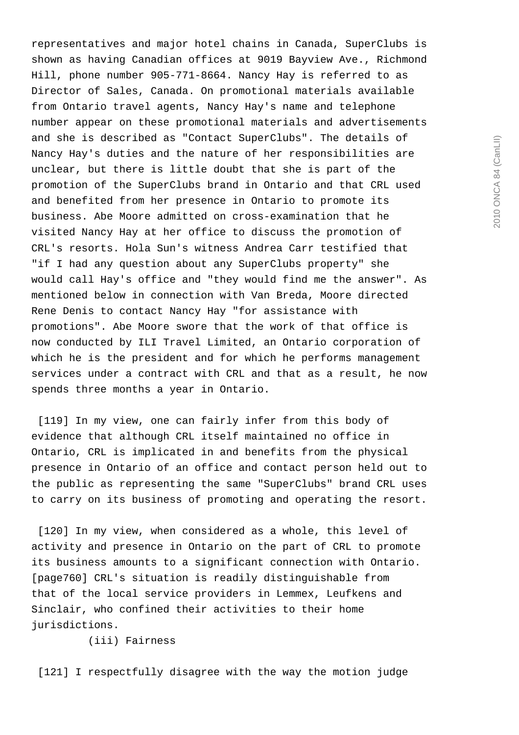representatives and major hotel chains in Canada, SuperClubs is shown as having Canadian offices at 9019 Bayview Ave., Richmond Hill, phone number 905-771-8664. Nancy Hay is referred to as Director of Sales, Canada. On promotional materials available from Ontario travel agents, Nancy Hay's name and telephone number appear on these promotional materials and advertisements and she is described as "Contact SuperClubs". The details of Nancy Hay's duties and the nature of her responsibilities are unclear, but there is little doubt that she is part of the promotion of the SuperClubs brand in Ontario and that CRL used and benefited from her presence in Ontario to promote its business. Abe Moore admitted on cross-examination that he visited Nancy Hay at her office to discuss the promotion of CRL's resorts. Hola Sun's witness Andrea Carr testified that "if I had any question about any SuperClubs property" she would call Hay's office and "they would find me the answer". As mentioned below in connection with Van Breda, Moore directed Rene Denis to contact Nancy Hay "for assistance with promotions". Abe Moore swore that the work of that office is now conducted by ILI Travel Limited, an Ontario corporation of which he is the president and for which he performs management services under a contract with CRL and that as a result, he now spends three months a year in Ontario.

 [119] In my view, one can fairly infer from this body of evidence that although CRL itself maintained no office in Ontario, CRL is implicated in and benefits from the physical presence in Ontario of an office and contact person held out to the public as representing the same "SuperClubs" brand CRL uses to carry on its business of promoting and operating the resort.

 [120] In my view, when considered as a whole, this level of activity and presence in Ontario on the part of CRL to promote its business amounts to a significant connection with Ontario. [page760] CRL's situation is readily distinguishable from that of the local service providers in Lemmex, Leufkens and Sinclair, who confined their activities to their home jurisdictions.

(iii) Fairness

[121] I respectfully disagree with the way the motion judge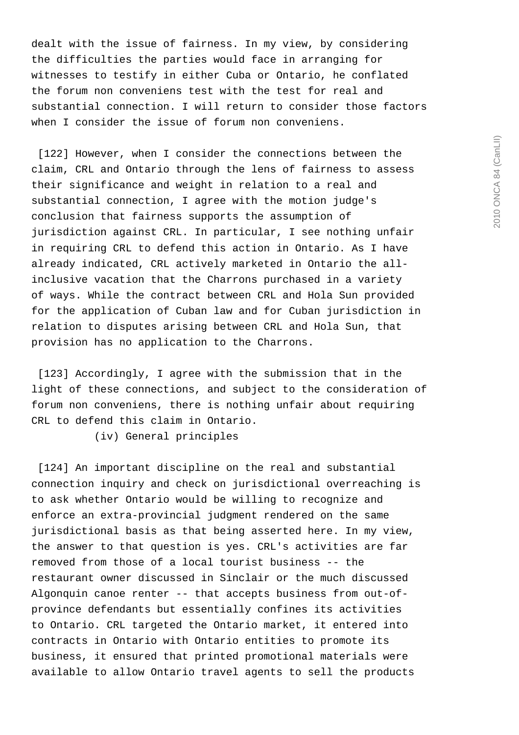dealt with the issue of fairness. In my view, by considering the difficulties the parties would face in arranging for witnesses to testify in either Cuba or Ontario, he conflated the forum non conveniens test with the test for real and substantial connection. I will return to consider those factors when I consider the issue of forum non conveniens.

 [122] However, when I consider the connections between the claim, CRL and Ontario through the lens of fairness to assess their significance and weight in relation to a real and substantial connection, I agree with the motion judge's conclusion that fairness supports the assumption of jurisdiction against CRL. In particular, I see nothing unfair in requiring CRL to defend this action in Ontario. As I have already indicated, CRL actively marketed in Ontario the allinclusive vacation that the Charrons purchased in a variety of ways. While the contract between CRL and Hola Sun provided for the application of Cuban law and for Cuban jurisdiction in relation to disputes arising between CRL and Hola Sun, that provision has no application to the Charrons.

 [123] Accordingly, I agree with the submission that in the light of these connections, and subject to the consideration of forum non conveniens, there is nothing unfair about requiring CRL to defend this claim in Ontario.

(iv) General principles

 [124] An important discipline on the real and substantial connection inquiry and check on jurisdictional overreaching is to ask whether Ontario would be willing to recognize and enforce an extra-provincial judgment rendered on the same jurisdictional basis as that being asserted here. In my view, the answer to that question is yes. CRL's activities are far removed from those of a local tourist business -- the restaurant owner discussed in Sinclair or the much discussed Algonquin canoe renter -- that accepts business from out-ofprovince defendants but essentially confines its activities to Ontario. CRL targeted the Ontario market, it entered into contracts in Ontario with Ontario entities to promote its business, it ensured that printed promotional materials were available to allow Ontario travel agents to sell the products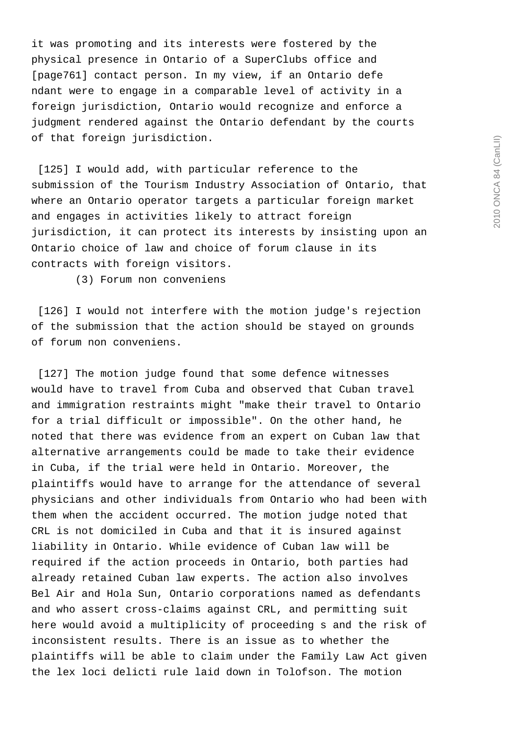it was promoting and its interests were fostered by the physical presence in Ontario of a SuperClubs office and [page761] contact person. In my view, if an Ontario defe ndant were to engage in a comparable level of activity in a foreign jurisdiction, Ontario would recognize and enforce a judgment rendered against the Ontario defendant by the courts of that foreign jurisdiction.

[125] I would add, with particular reference to the submission of the Tourism Industry Association of Ontario, that where an Ontario operator targets a particular foreign market and engages in activities likely to attract foreign jurisdiction, it can protect its interests by insisting upon an Ontario choice of law and choice of forum clause in its contracts with foreign visitors.

(3) Forum non conveniens

 [126] I would not interfere with the motion judge's rejection of the submission that the action should be stayed on grounds of forum non conveniens.

[127] The motion judge found that some defence witnesses would have to travel from Cuba and observed that Cuban travel and immigration restraints might "make their travel to Ontario for a trial difficult or impossible". On the other hand, he noted that there was evidence from an expert on Cuban law that alternative arrangements could be made to take their evidence in Cuba, if the trial were held in Ontario. Moreover, the plaintiffs would have to arrange for the attendance of several physicians and other individuals from Ontario who had been with them when the accident occurred. The motion judge noted that CRL is not domiciled in Cuba and that it is insured against liability in Ontario. While evidence of Cuban law will be required if the action proceeds in Ontario, both parties had already retained Cuban law experts. The action also involves Bel Air and Hola Sun, Ontario corporations named as defendants and who assert cross-claims against CRL, and permitting suit here would avoid a multiplicity of proceeding s and the risk of inconsistent results. There is an issue as to whether the plaintiffs will be able to claim under the Family Law Act given the lex loci delicti rule laid down in Tolofson. The motion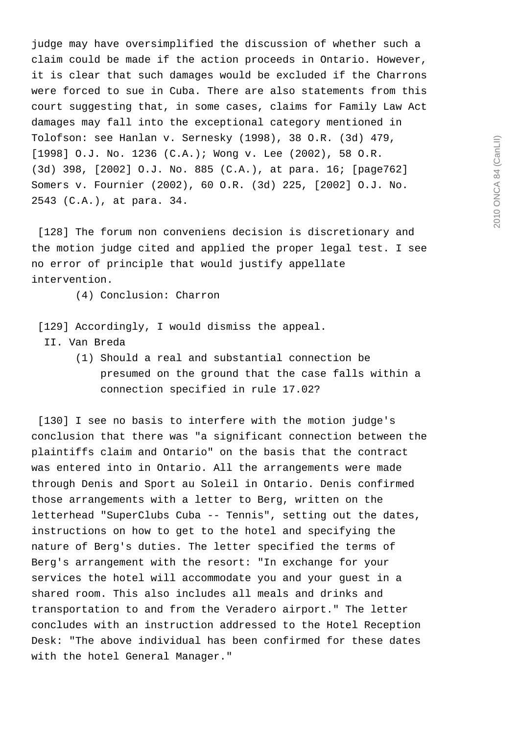judge may have oversimplified the discussion of whether such a claim could be made if the action proceeds in Ontario. However, it is clear that such damages would be excluded if the Charrons were forced to sue in Cuba. There are also statements from this court suggesting that, in some cases, claims for Family Law Act damages may fall into the exceptional category mentioned in Tolofson: see Hanlan v. Sernesky (1998), 38 O.R. (3d) 479, [1998] O.J. No. 1236 (C.A.); Wong v. Lee (2002), 58 O.R. (3d) 398, [2002] O.J. No. 885 (C.A.), at para. 16; [page762] Somers v. Fournier (2002), 60 O.R. (3d) 225, [2002] O.J. No. 2543 (C.A.), at para. 34.

 [128] The forum non conveniens decision is discretionary and the motion judge cited and applied the proper legal test. I see no error of principle that would justify appellate intervention.

(4) Conclusion: Charron

- [129] Accordingly, I would dismiss the appeal.
	- II. Van Breda
		- (1) Should a real and substantial connection be presumed on the ground that the case falls within a connection specified in rule 17.02?

 [130] I see no basis to interfere with the motion judge's conclusion that there was "a significant connection between the plaintiffs claim and Ontario" on the basis that the contract was entered into in Ontario. All the arrangements were made through Denis and Sport au Soleil in Ontario. Denis confirmed those arrangements with a letter to Berg, written on the letterhead "SuperClubs Cuba -- Tennis", setting out the dates, instructions on how to get to the hotel and specifying the nature of Berg's duties. The letter specified the terms of Berg's arrangement with the resort: "In exchange for your services the hotel will accommodate you and your guest in a shared room. This also includes all meals and drinks and transportation to and from the Veradero airport." The letter concludes with an instruction addressed to the Hotel Reception Desk: "The above individual has been confirmed for these dates with the hotel General Manager."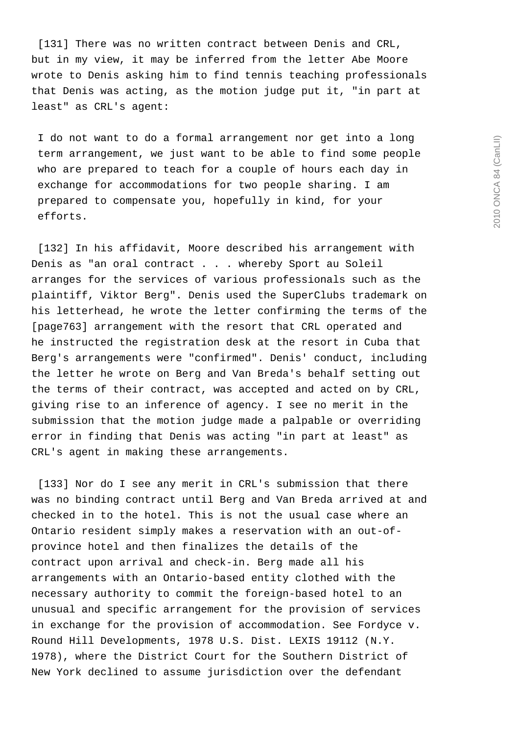[131] There was no written contract between Denis and CRL, but in my view, it may be inferred from the letter Abe Moore wrote to Denis asking him to find tennis teaching professionals that Denis was acting, as the motion judge put it, "in part at least" as CRL's agent:

 I do not want to do a formal arrangement nor get into a long term arrangement, we just want to be able to find some people who are prepared to teach for a couple of hours each day in exchange for accommodations for two people sharing. I am prepared to compensate you, hopefully in kind, for your efforts.

[132] In his affidavit, Moore described his arrangement with Denis as "an oral contract . . . whereby Sport au Soleil arranges for the services of various professionals such as the plaintiff, Viktor Berg". Denis used the SuperClubs trademark on his letterhead, he wrote the letter confirming the terms of the [page763] arrangement with the resort that CRL operated and he instructed the registration desk at the resort in Cuba that Berg's arrangements were "confirmed". Denis' conduct, including the letter he wrote on Berg and Van Breda's behalf setting out the terms of their contract, was accepted and acted on by CRL, giving rise to an inference of agency. I see no merit in the submission that the motion judge made a palpable or overriding error in finding that Denis was acting "in part at least" as CRL's agent in making these arrangements.

 [133] Nor do I see any merit in CRL's submission that there was no binding contract until Berg and Van Breda arrived at and checked in to the hotel. This is not the usual case where an Ontario resident simply makes a reservation with an out-ofprovince hotel and then finalizes the details of the contract upon arrival and check-in. Berg made all his arrangements with an Ontario-based entity clothed with the necessary authority to commit the foreign-based hotel to an unusual and specific arrangement for the provision of services in exchange for the provision of accommodation. See Fordyce v. Round Hill Developments, 1978 U.S. Dist. LEXIS 19112 (N.Y. 1978), where the District Court for the Southern District of New York declined to assume jurisdiction over the defendant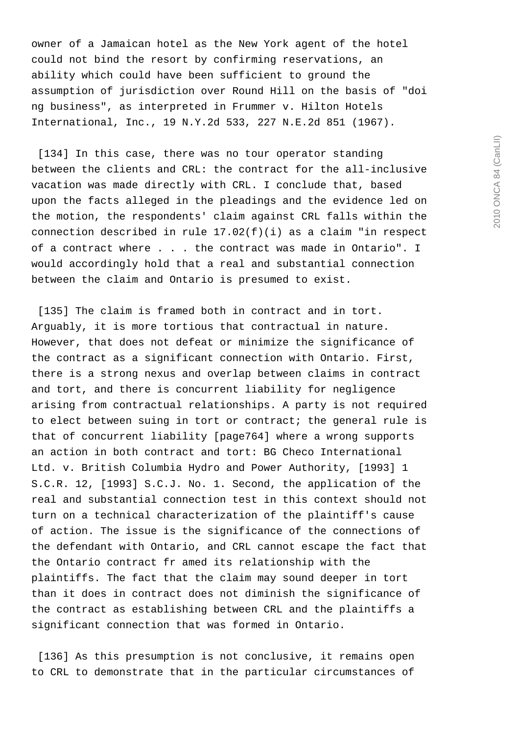owner of a Jamaican hotel as the New York agent of the hotel could not bind the resort by confirming reservations, an ability which could have been sufficient to ground the assumption of jurisdiction over Round Hill on the basis of "doi ng business", as interpreted in Frummer v. Hilton Hotels International, Inc., 19 N.Y.2d 533, 227 N.E.2d 851 (1967).

[134] In this case, there was no tour operator standing between the clients and CRL: the contract for the all-inclusive vacation was made directly with CRL. I conclude that, based upon the facts alleged in the pleadings and the evidence led on the motion, the respondents' claim against CRL falls within the connection described in rule  $17.02(f)(i)$  as a claim "in respect of a contract where . . . the contract was made in Ontario". I would accordingly hold that a real and substantial connection between the claim and Ontario is presumed to exist.

[135] The claim is framed both in contract and in tort. Arguably, it is more tortious that contractual in nature. However, that does not defeat or minimize the significance of the contract as a significant connection with Ontario. First, there is a strong nexus and overlap between claims in contract and tort, and there is concurrent liability for negligence arising from contractual relationships. A party is not required to elect between suing in tort or contract; the general rule is that of concurrent liability [page764] where a wrong supports an action in both contract and tort: BG Checo International Ltd. v. British Columbia Hydro and Power Authority, [1993] 1 S.C.R. 12, [1993] S.C.J. No. 1. Second, the application of the real and substantial connection test in this context should not turn on a technical characterization of the plaintiff's cause of action. The issue is the significance of the connections of the defendant with Ontario, and CRL cannot escape the fact that the Ontario contract fr amed its relationship with the plaintiffs. The fact that the claim may sound deeper in tort than it does in contract does not diminish the significance of the contract as establishing between CRL and the plaintiffs a significant connection that was formed in Ontario.

[136] As this presumption is not conclusive, it remains open to CRL to demonstrate that in the particular circumstances of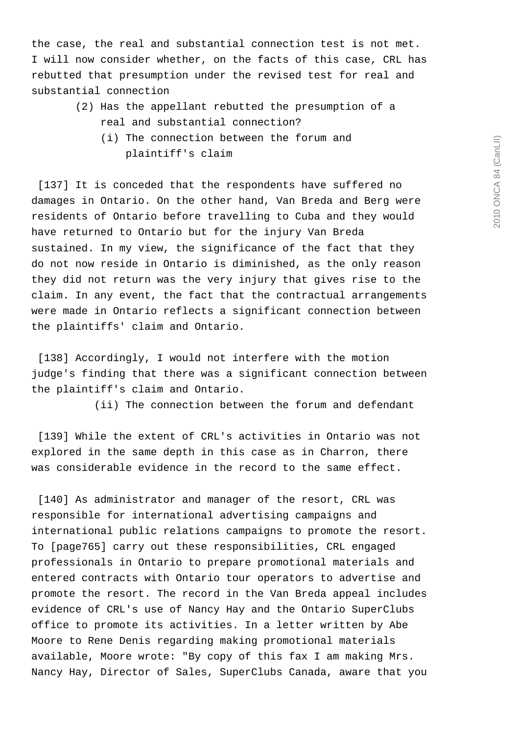the case, the real and substantial connection test is not met. I will now consider whether, on the facts of this case, CRL has rebutted that presumption under the revised test for real and substantial connection

- (2) Has the appellant rebutted the presumption of a real and substantial connection?
	- (i) The connection between the forum and plaintiff's claim

[137] It is conceded that the respondents have suffered no damages in Ontario. On the other hand, Van Breda and Berg were residents of Ontario before travelling to Cuba and they would have returned to Ontario but for the injury Van Breda sustained. In my view, the significance of the fact that they do not now reside in Ontario is diminished, as the only reason they did not return was the very injury that gives rise to the claim. In any event, the fact that the contractual arrangements were made in Ontario reflects a significant connection between the plaintiffs' claim and Ontario.

 [138] Accordingly, I would not interfere with the motion judge's finding that there was a significant connection between the plaintiff's claim and Ontario.

(ii) The connection between the forum and defendant

[139] While the extent of CRL's activities in Ontario was not explored in the same depth in this case as in Charron, there was considerable evidence in the record to the same effect.

 [140] As administrator and manager of the resort, CRL was responsible for international advertising campaigns and international public relations campaigns to promote the resort. To [page765] carry out these responsibilities, CRL engaged professionals in Ontario to prepare promotional materials and entered contracts with Ontario tour operators to advertise and promote the resort. The record in the Van Breda appeal includes evidence of CRL's use of Nancy Hay and the Ontario SuperClubs office to promote its activities. In a letter written by Abe Moore to Rene Denis regarding making promotional materials available, Moore wrote: "By copy of this fax I am making Mrs. Nancy Hay, Director of Sales, SuperClubs Canada, aware that you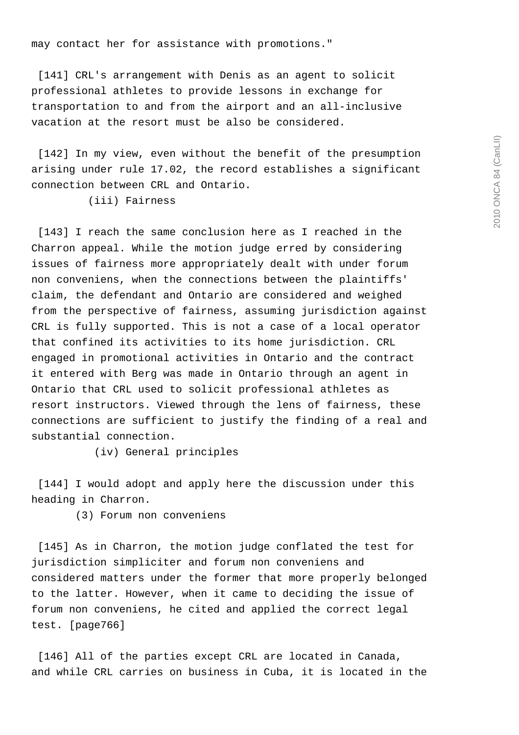may contact her for assistance with promotions."

[141] CRL's arrangement with Denis as an agent to solicit professional athletes to provide lessons in exchange for transportation to and from the airport and an all-inclusive vacation at the resort must be also be considered.

 [142] In my view, even without the benefit of the presumption arising under rule 17.02, the record establishes a significant connection between CRL and Ontario.

(iii) Fairness

 [143] I reach the same conclusion here as I reached in the Charron appeal. While the motion judge erred by considering issues of fairness more appropriately dealt with under forum non conveniens, when the connections between the plaintiffs' claim, the defendant and Ontario are considered and weighed from the perspective of fairness, assuming jurisdiction against CRL is fully supported. This is not a case of a local operator that confined its activities to its home jurisdiction. CRL engaged in promotional activities in Ontario and the contract it entered with Berg was made in Ontario through an agent in Ontario that CRL used to solicit professional athletes as resort instructors. Viewed through the lens of fairness, these connections are sufficient to justify the finding of a real and substantial connection.

(iv) General principles

 [144] I would adopt and apply here the discussion under this heading in Charron.

(3) Forum non conveniens

 [145] As in Charron, the motion judge conflated the test for jurisdiction simpliciter and forum non conveniens and considered matters under the former that more properly belonged to the latter. However, when it came to deciding the issue of forum non conveniens, he cited and applied the correct legal test. [page766]

[146] All of the parties except CRL are located in Canada, and while CRL carries on business in Cuba, it is located in the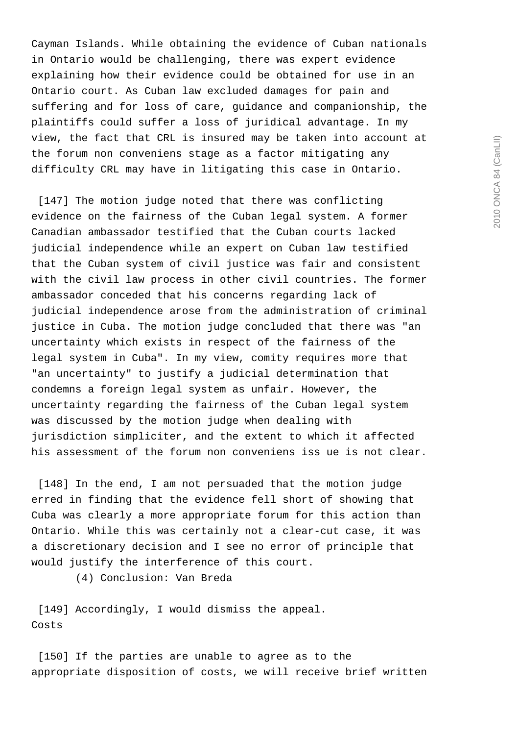Cayman Islands. While obtaining the evidence of Cuban nationals in Ontario would be challenging, there was expert evidence explaining how their evidence could be obtained for use in an Ontario court. As Cuban law excluded damages for pain and suffering and for loss of care, guidance and companionship, the plaintiffs could suffer a loss of juridical advantage. In my view, the fact that CRL is insured may be taken into account at the forum non conveniens stage as a factor mitigating any difficulty CRL may have in litigating this case in Ontario.

[147] The motion judge noted that there was conflicting evidence on the fairness of the Cuban legal system. A former Canadian ambassador testified that the Cuban courts lacked judicial independence while an expert on Cuban law testified that the Cuban system of civil justice was fair and consistent with the civil law process in other civil countries. The former ambassador conceded that his concerns regarding lack of judicial independence arose from the administration of criminal justice in Cuba. The motion judge concluded that there was "an uncertainty which exists in respect of the fairness of the legal system in Cuba". In my view, comity requires more that "an uncertainty" to justify a judicial determination that condemns a foreign legal system as unfair. However, the uncertainty regarding the fairness of the Cuban legal system was discussed by the motion judge when dealing with jurisdiction simpliciter, and the extent to which it affected his assessment of the forum non conveniens iss ue is not clear.

 [148] In the end, I am not persuaded that the motion judge erred in finding that the evidence fell short of showing that Cuba was clearly a more appropriate forum for this action than Ontario. While this was certainly not a clear-cut case, it was a discretionary decision and I see no error of principle that would justify the interference of this court.

(4) Conclusion: Van Breda

 [149] Accordingly, I would dismiss the appeal. Costs

[150] If the parties are unable to agree as to the appropriate disposition of costs, we will receive brief written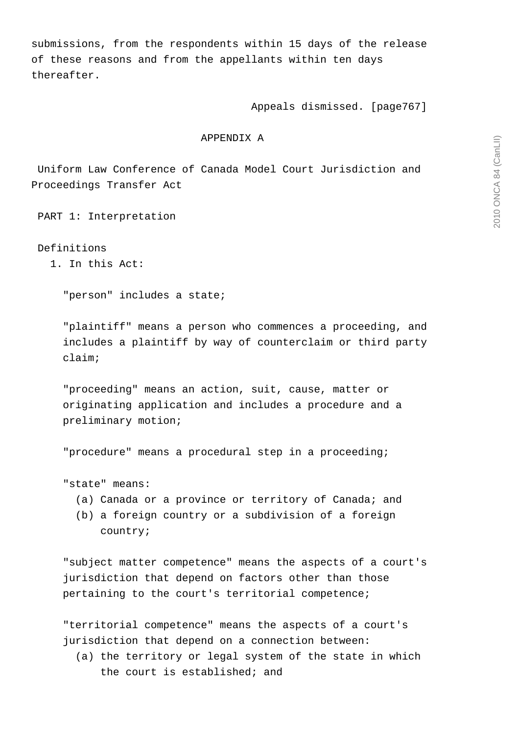submissions, from the respondents within 15 days of the release of these reasons and from the appellants within ten days thereafter.

Appeals dismissed. [page767]

### APPENDIX A

 Uniform Law Conference of Canada Model Court Jurisdiction and Proceedings Transfer Act

PART 1: Interpretation

Definitions

1. In this Act:

"person" includes a state;

 "plaintiff" means a person who commences a proceeding, and includes a plaintiff by way of counterclaim or third party claim;

 "proceeding" means an action, suit, cause, matter or originating application and includes a procedure and a preliminary motion;

"procedure" means a procedural step in a proceeding;

"state" means:

- (a) Canada or a province or territory of Canada; and
- (b) a foreign country or a subdivision of a foreign country;

 "subject matter competence" means the aspects of a court's jurisdiction that depend on factors other than those pertaining to the court's territorial competence;

 "territorial competence" means the aspects of a court's jurisdiction that depend on a connection between:

 (a) the territory or legal system of the state in which the court is established; and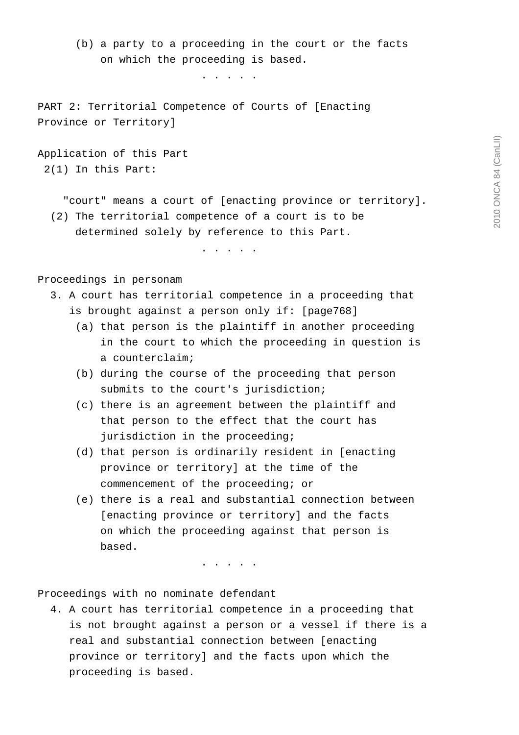(b) a party to a proceeding in the court or the facts on which the proceeding is based.

. . . . .

 PART 2: Territorial Competence of Courts of [Enacting Province or Territory]

 Application of this Part 2(1) In this Part:

 "court" means a court of [enacting province or territory]. (2) The territorial competence of a court is to be determined solely by reference to this Part.

. . . . .

Proceedings in personam

- 3. A court has territorial competence in a proceeding that is brought against a person only if: [page768]
	- (a) that person is the plaintiff in another proceeding in the court to which the proceeding in question is a counterclaim;
	- (b) during the course of the proceeding that person submits to the court's jurisdiction;
	- (c) there is an agreement between the plaintiff and that person to the effect that the court has jurisdiction in the proceeding;
	- (d) that person is ordinarily resident in [enacting province or territory] at the time of the commencement of the proceeding; or
	- (e) there is a real and substantial connection between [enacting province or territory] and the facts on which the proceeding against that person is based.

. . . . .

Proceedings with no nominate defendant

 4. A court has territorial competence in a proceeding that is not brought against a person or a vessel if there is a real and substantial connection between [enacting province or territory] and the facts upon which the proceeding is based.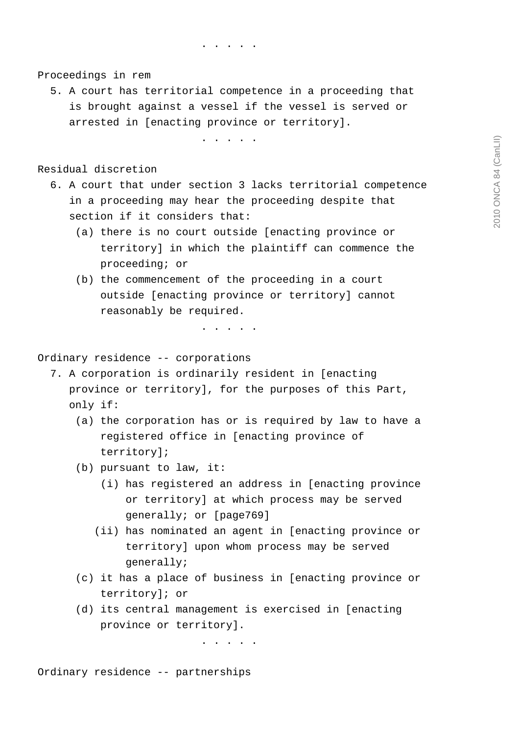. . . . .

Proceedings in rem

 5. A court has territorial competence in a proceeding that is brought against a vessel if the vessel is served or arrested in [enacting province or territory].

. . . . .

Residual discretion

- 6. A court that under section 3 lacks territorial competence in a proceeding may hear the proceeding despite that section if it considers that:
	- (a) there is no court outside [enacting province or territory] in which the plaintiff can commence the proceeding; or
	- (b) the commencement of the proceeding in a court outside [enacting province or territory] cannot reasonably be required.

. . . . .

Ordinary residence -- corporations

 7. A corporation is ordinarily resident in [enacting province or territory], for the purposes of this Part, only if:

- (a) the corporation has or is required by law to have a registered office in [enacting province of territory];
- (b) pursuant to law, it:
	- (i) has registered an address in [enacting province or territory] at which process may be served generally; or [page769]
	- (ii) has nominated an agent in [enacting province or territory] upon whom process may be served generally;
- (c) it has a place of business in [enacting province or territory]; or
- (d) its central management is exercised in [enacting province or territory].

. . . . .

Ordinary residence -- partnerships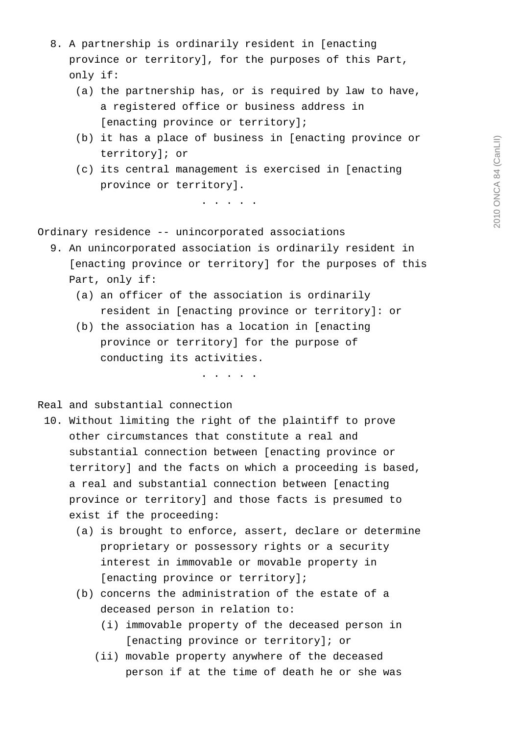- 8. A partnership is ordinarily resident in [enacting province or territory], for the purposes of this Part, only if:
	- (a) the partnership has, or is required by law to have, a registered office or business address in [enacting province or territory];
	- (b) it has a place of business in [enacting province or territory]; or
	- (c) its central management is exercised in [enacting province or territory].

. . . . .

Ordinary residence -- unincorporated associations

- 9. An unincorporated association is ordinarily resident in [enacting province or territory] for the purposes of this Part, only if:
	- (a) an officer of the association is ordinarily resident in [enacting province or territory]: or
	- (b) the association has a location in [enacting province or territory] for the purpose of conducting its activities.

. . . . .

# Real and substantial connection

- 10. Without limiting the right of the plaintiff to prove other circumstances that constitute a real and substantial connection between [enacting province or territory] and the facts on which a proceeding is based, a real and substantial connection between [enacting province or territory] and those facts is presumed to exist if the proceeding:
	- (a) is brought to enforce, assert, declare or determine proprietary or possessory rights or a security interest in immovable or movable property in [enacting province or territory];
	- (b) concerns the administration of the estate of a deceased person in relation to:
		- (i) immovable property of the deceased person in [enacting province or territory]; or
		- (ii) movable property anywhere of the deceased person if at the time of death he or she was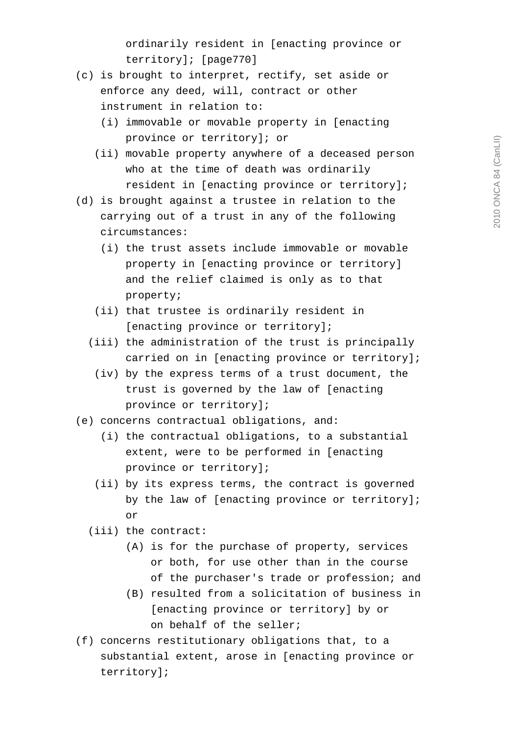ordinarily resident in [enacting province or territory]; [page770]

- (c) is brought to interpret, rectify, set aside or enforce any deed, will, contract or other instrument in relation to:
	- (i) immovable or movable property in [enacting province or territory]; or
	- (ii) movable property anywhere of a deceased person who at the time of death was ordinarily resident in [enacting province or territory];
- (d) is brought against a trustee in relation to the carrying out of a trust in any of the following circumstances:
	- (i) the trust assets include immovable or movable property in [enacting province or territory] and the relief claimed is only as to that property;
	- (ii) that trustee is ordinarily resident in [enacting province or territory];
	- (iii) the administration of the trust is principally carried on in [enacting province or territory];
		- (iv) by the express terms of a trust document, the trust is governed by the law of [enacting province or territory];
- (e) concerns contractual obligations, and:
	- (i) the contractual obligations, to a substantial extent, were to be performed in [enacting province or territory];
- (ii) by its express terms, the contract is governed by the law of [enacting province or territory]; or
	- (iii) the contract:
		- (A) is for the purchase of property, services or both, for use other than in the course of the purchaser's trade or profession; and
		- (B) resulted from a solicitation of business in [enacting province or territory] by or on behalf of the seller;
	- (f) concerns restitutionary obligations that, to a substantial extent, arose in [enacting province or territory];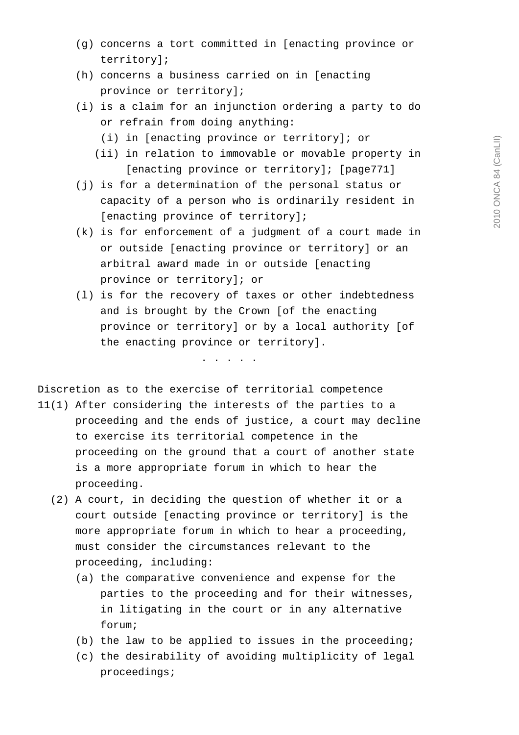- (g) concerns a tort committed in [enacting province or territory];
- (h) concerns a business carried on in [enacting province or territory];
- (i) is a claim for an injunction ordering a party to do or refrain from doing anything:
	- (i) in [enacting province or territory]; or
	- (ii) in relation to immovable or movable property in [enacting province or territory]; [page771]
- (j) is for a determination of the personal status or capacity of a person who is ordinarily resident in [enacting province of territory];
- (k) is for enforcement of a judgment of a court made in or outside [enacting province or territory] or an arbitral award made in or outside [enacting province or territory]; or
- (l) is for the recovery of taxes or other indebtedness and is brought by the Crown [of the enacting province or territory] or by a local authority [of the enacting province or territory].

. . . . .

Discretion as to the exercise of territorial competence

- 11(1) After considering the interests of the parties to a proceeding and the ends of justice, a court may decline to exercise its territorial competence in the proceeding on the ground that a court of another state is a more appropriate forum in which to hear the proceeding.
	- (2) A court, in deciding the question of whether it or a court outside [enacting province or territory] is the more appropriate forum in which to hear a proceeding, must consider the circumstances relevant to the proceeding, including:
		- (a) the comparative convenience and expense for the parties to the proceeding and for their witnesses, in litigating in the court or in any alternative forum;
		- (b) the law to be applied to issues in the proceeding;
		- (c) the desirability of avoiding multiplicity of legal proceedings;